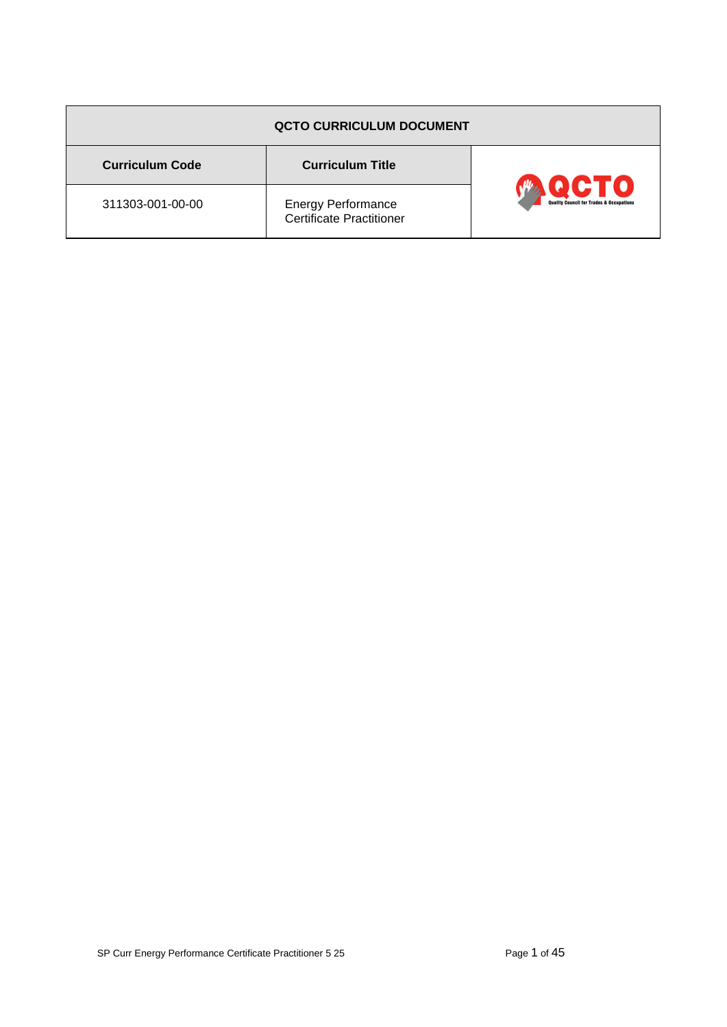| <b>QCTO CURRICULUM DOCUMENT</b> |                                                       |                                                             |  |
|---------------------------------|-------------------------------------------------------|-------------------------------------------------------------|--|
| <b>Curriculum Code</b>          | <b>Curriculum Title</b>                               |                                                             |  |
| 311303-001-00-00                | <b>Energy Performance</b><br>Certificate Practitioner | CTO)<br><b>Quality Council for Trades &amp; Occupations</b> |  |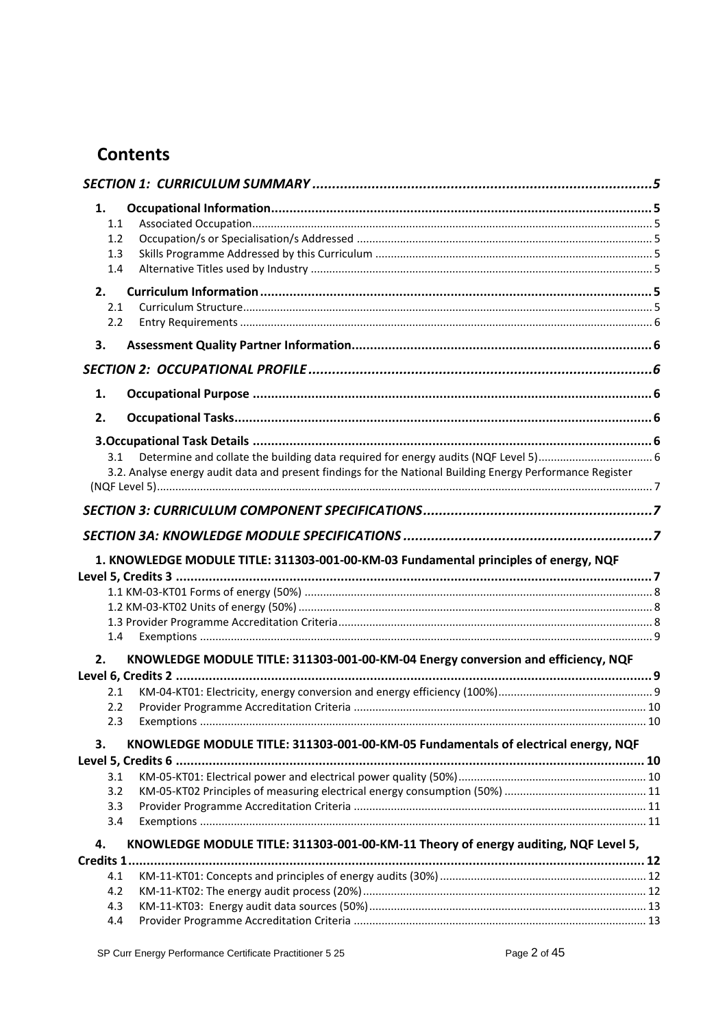# **Contents**

| 1.               |                                                                                                           |  |
|------------------|-----------------------------------------------------------------------------------------------------------|--|
| 1.1              |                                                                                                           |  |
| 1.2 <sub>2</sub> |                                                                                                           |  |
| 1.3              |                                                                                                           |  |
| 1.4              |                                                                                                           |  |
| 2.               |                                                                                                           |  |
| 2.1              |                                                                                                           |  |
| 2.2              |                                                                                                           |  |
| 3.               |                                                                                                           |  |
|                  |                                                                                                           |  |
| 1.               |                                                                                                           |  |
| 2.               |                                                                                                           |  |
|                  |                                                                                                           |  |
| 3.1              |                                                                                                           |  |
|                  | 3.2. Analyse energy audit data and present findings for the National Building Energy Performance Register |  |
|                  |                                                                                                           |  |
|                  |                                                                                                           |  |
|                  |                                                                                                           |  |
|                  |                                                                                                           |  |
|                  | 1. KNOWLEDGE MODULE TITLE: 311303-001-00-KM-03 Fundamental principles of energy, NQF                      |  |
|                  |                                                                                                           |  |
|                  |                                                                                                           |  |
|                  |                                                                                                           |  |
| 1.4              |                                                                                                           |  |
| 2.               | KNOWLEDGE MODULE TITLE: 311303-001-00-KM-04 Energy conversion and efficiency, NQF                         |  |
|                  |                                                                                                           |  |
| 2.1              |                                                                                                           |  |
| 2.2              |                                                                                                           |  |
| 2.3              |                                                                                                           |  |
| 3.               | KNOWLEDGE MODULE TITLE: 311303-001-00-KM-05 Fundamentals of electrical energy, NQF                        |  |
|                  |                                                                                                           |  |
| 3.1              |                                                                                                           |  |
| 3.2              |                                                                                                           |  |
| 3.3              |                                                                                                           |  |
| 3.4              |                                                                                                           |  |
| 4.               | KNOWLEDGE MODULE TITLE: 311303-001-00-KM-11 Theory of energy auditing, NQF Level 5,                       |  |
| <b>Credits 1</b> |                                                                                                           |  |
| 4.1              |                                                                                                           |  |
| 4.2              |                                                                                                           |  |
| 4.3              |                                                                                                           |  |
| 4.4              |                                                                                                           |  |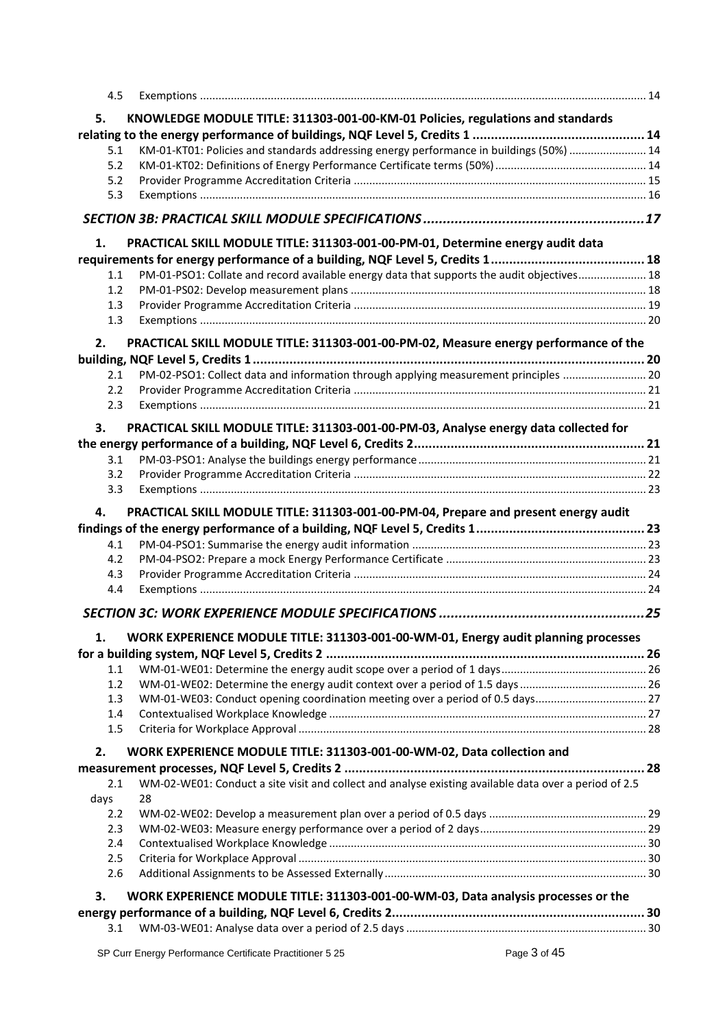| 4.5        |                                                                                                       |  |
|------------|-------------------------------------------------------------------------------------------------------|--|
| 5.         | KNOWLEDGE MODULE TITLE: 311303-001-00-KM-01 Policies, regulations and standards                       |  |
|            |                                                                                                       |  |
| 5.1        | KM-01-KT01: Policies and standards addressing energy performance in buildings (50%)  14               |  |
| 5.2        |                                                                                                       |  |
| 5.2        |                                                                                                       |  |
| 5.3        |                                                                                                       |  |
|            |                                                                                                       |  |
| 1.         | PRACTICAL SKILL MODULE TITLE: 311303-001-00-PM-01, Determine energy audit data                        |  |
|            |                                                                                                       |  |
| 1.1        | PM-01-PSO1: Collate and record available energy data that supports the audit objectives 18            |  |
| 1.2        |                                                                                                       |  |
| 1.3        |                                                                                                       |  |
| 1.3        |                                                                                                       |  |
|            |                                                                                                       |  |
| 2.         | PRACTICAL SKILL MODULE TITLE: 311303-001-00-PM-02, Measure energy performance of the                  |  |
|            |                                                                                                       |  |
| 2.1<br>2.2 | PM-02-PSO1: Collect data and information through applying measurement principles  20                  |  |
| 2.3        |                                                                                                       |  |
|            |                                                                                                       |  |
| 3.         | PRACTICAL SKILL MODULE TITLE: 311303-001-00-PM-03, Analyse energy data collected for                  |  |
|            |                                                                                                       |  |
| 3.1        |                                                                                                       |  |
| 3.2        |                                                                                                       |  |
| 3.3        |                                                                                                       |  |
| 4.         | PRACTICAL SKILL MODULE TITLE: 311303-001-00-PM-04, Prepare and present energy audit                   |  |
|            |                                                                                                       |  |
| 4.1        |                                                                                                       |  |
| 4.2        |                                                                                                       |  |
| 4.3        |                                                                                                       |  |
| 4.4        |                                                                                                       |  |
|            |                                                                                                       |  |
| 1.         | WORK EXPERIENCE MODULE TITLE: 311303-001-00-WM-01, Energy audit planning processes                    |  |
|            |                                                                                                       |  |
| 1.1        |                                                                                                       |  |
| 1.2        |                                                                                                       |  |
| 1.3        | WM-01-WE03: Conduct opening coordination meeting over a period of 0.5 days 27                         |  |
| 1.4        |                                                                                                       |  |
| 1.5        |                                                                                                       |  |
| 2.         | WORK EXPERIENCE MODULE TITLE: 311303-001-00-WM-02, Data collection and                                |  |
|            |                                                                                                       |  |
| 2.1        | WM-02-WE01: Conduct a site visit and collect and analyse existing available data over a period of 2.5 |  |
| days       | 28                                                                                                    |  |
| 2.2        |                                                                                                       |  |
| 2.3        |                                                                                                       |  |
|            |                                                                                                       |  |
| 2.4        |                                                                                                       |  |
| 2.5        |                                                                                                       |  |
| 2.6        |                                                                                                       |  |
| 3.         |                                                                                                       |  |
|            | WORK EXPERIENCE MODULE TITLE: 311303-001-00-WM-03, Data analysis processes or the                     |  |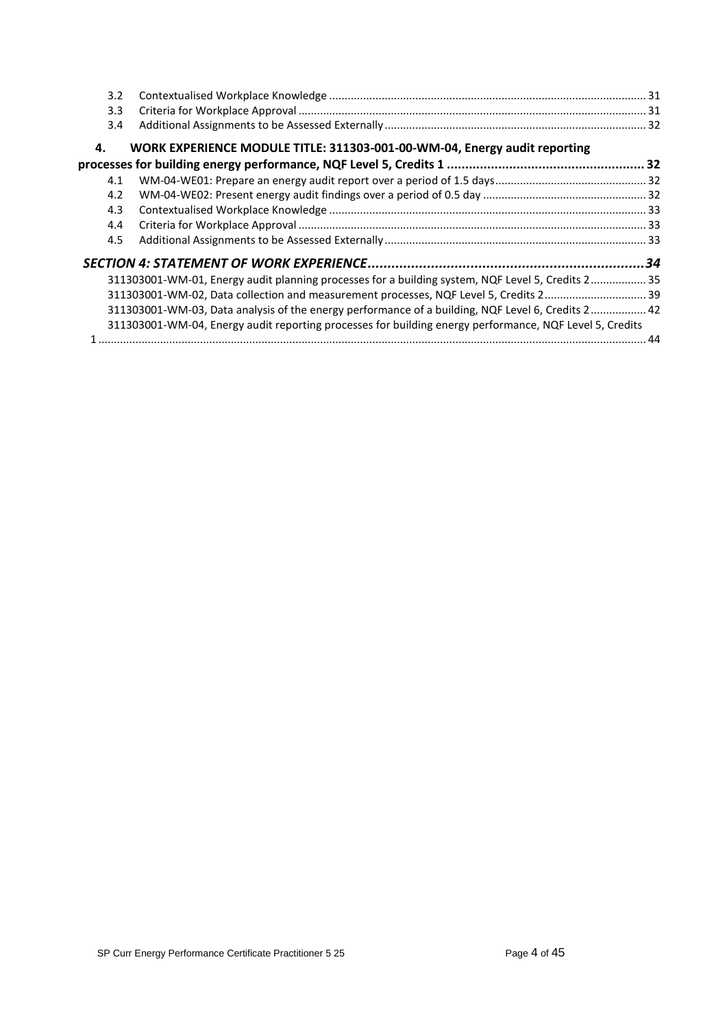| 3.2 |                                                                                                         |  |
|-----|---------------------------------------------------------------------------------------------------------|--|
| 3.3 |                                                                                                         |  |
| 3.4 |                                                                                                         |  |
| 4.  | WORK EXPERIENCE MODULE TITLE: 311303-001-00-WM-04, Energy audit reporting                               |  |
|     |                                                                                                         |  |
| 4.1 |                                                                                                         |  |
| 4.2 |                                                                                                         |  |
| 4.3 |                                                                                                         |  |
| 4.4 |                                                                                                         |  |
| 4.5 |                                                                                                         |  |
|     |                                                                                                         |  |
|     | 31.1303001-WM-01, Energy audit planning processes for a building system, NQF Level 5, Credits 2 35      |  |
|     | 311303001-WM-02, Data collection and measurement processes, NQF Level 5, Credits 2 39                   |  |
|     | 311303001-WM-03, Data analysis of the energy performance of a building, NQF Level 6, Credits 2 42       |  |
|     | 311303001-WM-04, Energy audit reporting processes for building energy performance, NQF Level 5, Credits |  |
|     |                                                                                                         |  |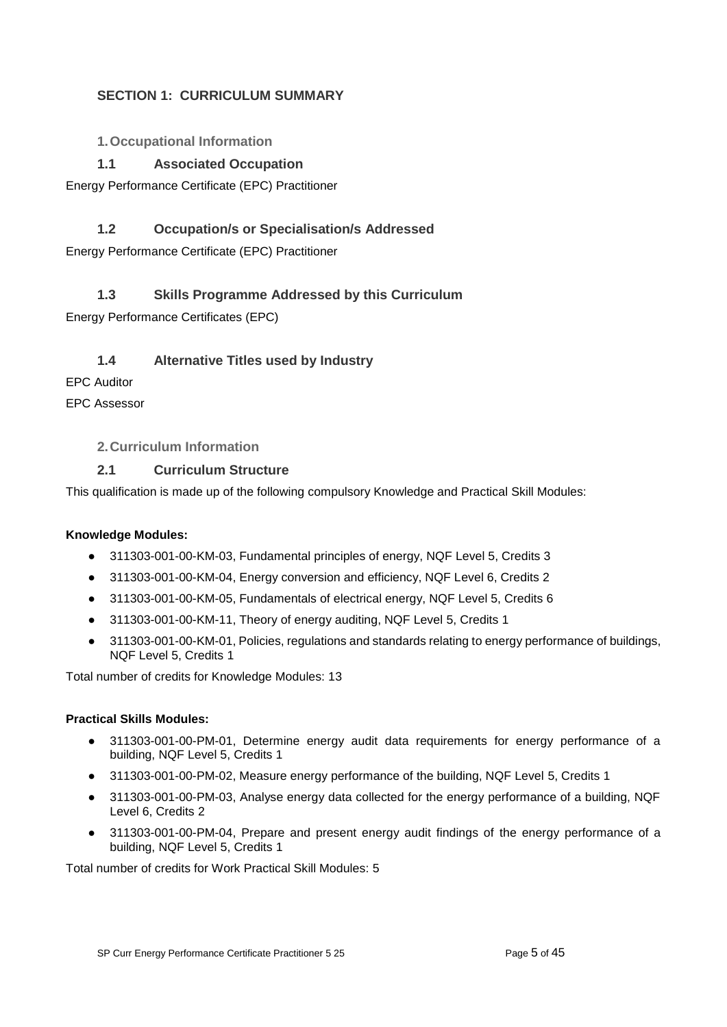### <span id="page-4-0"></span>**SECTION 1: CURRICULUM SUMMARY**

<span id="page-4-1"></span>**1.Occupational Information**

### **1.1 Associated Occupation**

<span id="page-4-2"></span>Energy Performance Certificate (EPC) Practitioner

### **1.2 Occupation/s or Specialisation/s Addressed**

<span id="page-4-3"></span>Energy Performance Certificate (EPC) Practitioner

### <span id="page-4-4"></span>**1.3 Skills Programme Addressed by this Curriculum**

Energy Performance Certificates (EPC)

### **1.4 Alternative Titles used by Industry**

<span id="page-4-5"></span>EPC Auditor

EPC Assessor

### <span id="page-4-6"></span>**2.Curriculum Information**

### **2.1 Curriculum Structure**

<span id="page-4-7"></span>This qualification is made up of the following compulsory Knowledge and Practical Skill Modules:

#### **Knowledge Modules:**

- 311303-001-00-KM-03, Fundamental principles of energy, NQF Level 5, Credits 3
- 311303-001-00-KM-04, Energy conversion and efficiency, NQF Level 6, Credits 2
- 311303-001-00-KM-05, Fundamentals of electrical energy, NQF Level 5, Credits 6
- 311303-001-00-KM-11, Theory of energy auditing, NQF Level 5, Credits 1
- 311303-001-00-KM-01, Policies, regulations and standards relating to energy performance of buildings, NQF Level 5, Credits 1

Total number of credits for Knowledge Modules: 13

#### **Practical Skills Modules:**

- 311303-001-00-PM-01, Determine energy audit data requirements for energy performance of a building, NQF Level 5, Credits 1
- 311303-001-00-PM-02, Measure energy performance of the building, NQF Level 5, Credits 1
- 311303-001-00-PM-03, Analyse energy data collected for the energy performance of a building, NQF Level 6, Credits 2
- 311303-001-00-PM-04, Prepare and present energy audit findings of the energy performance of a building, NQF Level 5, Credits 1

Total number of credits for Work Practical Skill Modules: 5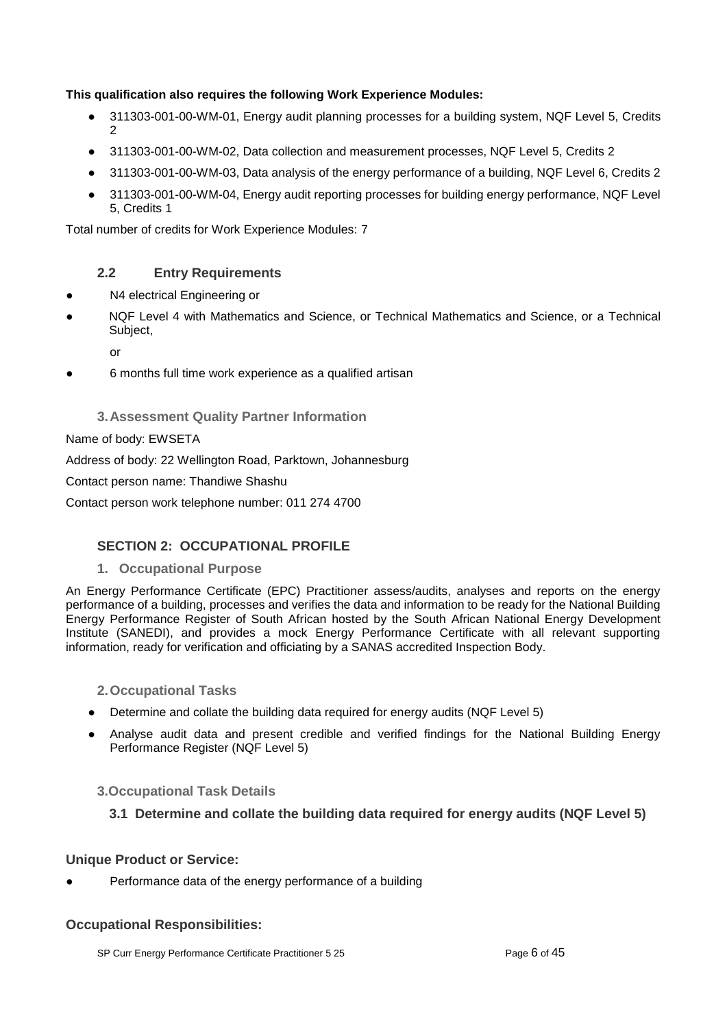### **This qualification also requires the following Work Experience Modules:**

- 311303-001-00-WM-01, Energy audit planning processes for a building system, NQF Level 5, Credits  $\mathfrak{D}$
- 311303-001-00-WM-02, Data collection and measurement processes, NQF Level 5, Credits 2
- 311303-001-00-WM-03, Data analysis of the energy performance of a building, NQF Level 6, Credits 2
- 311303-001-00-WM-04, Energy audit reporting processes for building energy performance, NQF Level 5, Credits 1

Total number of credits for Work Experience Modules: 7

### **2.2 Entry Requirements**

- <span id="page-5-0"></span>N4 electrical Engineering or
- NQF Level 4 with Mathematics and Science, or Technical Mathematics and Science, or a Technical Subject,

or

6 months full time work experience as a qualified artisan

### **3.Assessment Quality Partner Information**

### <span id="page-5-1"></span>Name of body: EWSETA

Address of body: 22 Wellington Road, Parktown, Johannesburg

Contact person name: Thandiwe Shashu

Contact person work telephone number: 011 274 4700

### <span id="page-5-2"></span>**SECTION 2: OCCUPATIONAL PROFILE**

#### **1. Occupational Purpose**

<span id="page-5-3"></span>An Energy Performance Certificate (EPC) Practitioner assess/audits, analyses and reports on the energy performance of a building, processes and verifies the data and information to be ready for the National Building Energy Performance Register of South African hosted by the South African National Energy Development Institute (SANEDI), and provides a mock Energy Performance Certificate with all relevant supporting information, ready for verification and officiating by a SANAS accredited Inspection Body.

- <span id="page-5-4"></span>**2.Occupational Tasks**
- Determine and collate the building data required for energy audits (NQF Level 5)
- Analyse audit data and present credible and verified findings for the National Building Energy Performance Register (NQF Level 5)

### <span id="page-5-6"></span><span id="page-5-5"></span>**3.Occupational Task Details**

### **3.1 Determine and collate the building data required for energy audits (NQF Level 5)**

### **Unique Product or Service:**

Performance data of the energy performance of a building

#### **Occupational Responsibilities:**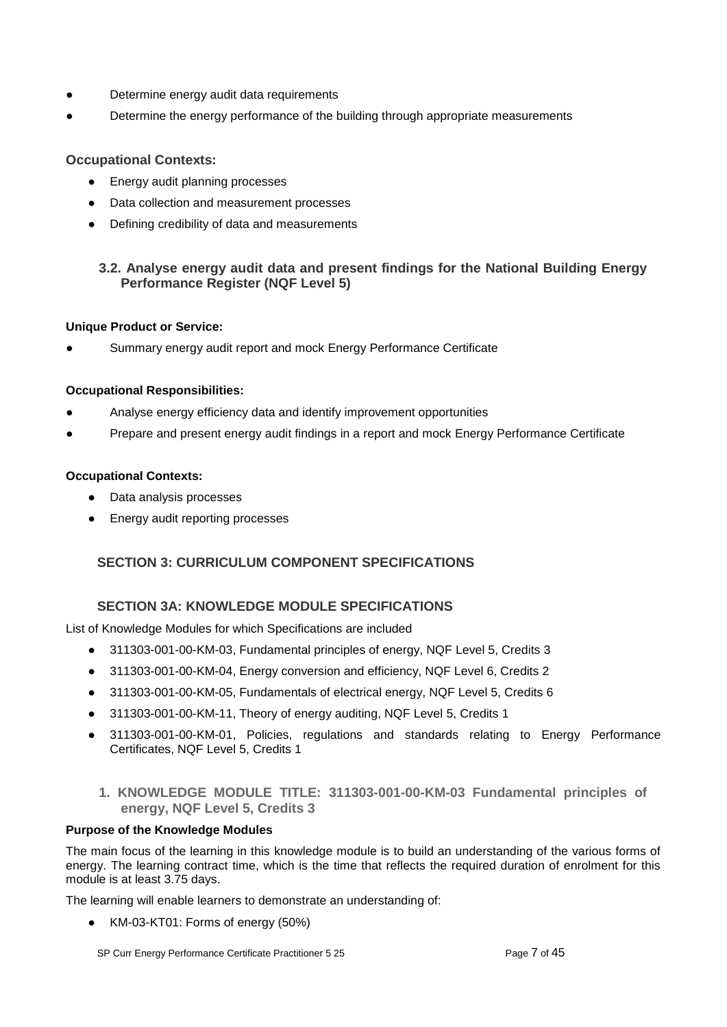- Determine energy audit data requirements
- Determine the energy performance of the building through appropriate measurements

### **Occupational Contexts:**

- Energy audit planning processes
- Data collection and measurement processes
- Defining credibility of data and measurements

### <span id="page-6-0"></span>**3.2. Analyse energy audit data and present findings for the National Building Energy Performance Register (NQF Level 5)**

#### **Unique Product or Service:**

Summary energy audit report and mock Energy Performance Certificate

#### **Occupational Responsibilities:**

- Analyse energy efficiency data and identify improvement opportunities
- Prepare and present energy audit findings in a report and mock Energy Performance Certificate

#### **Occupational Contexts:**

- Data analysis processes
- Energy audit reporting processes

### <span id="page-6-1"></span>**SECTION 3: CURRICULUM COMPONENT SPECIFICATIONS**

### **SECTION 3A: KNOWLEDGE MODULE SPECIFICATIONS**

<span id="page-6-2"></span>List of Knowledge Modules for which Specifications are included

- 311303-001-00-KM-03, Fundamental principles of energy, NQF Level 5, Credits 3
- 311303-001-00-KM-04, Energy conversion and efficiency, NQF Level 6, Credits 2
- 311303-001-00-KM-05, Fundamentals of electrical energy, NQF Level 5, Credits 6
- 311303-001-00-KM-11, Theory of energy auditing, NQF Level 5, Credits 1
- 311303-001-00-KM-01, Policies, regulations and standards relating to Energy Performance Certificates, NQF Level 5, Credits 1
	- **1. KNOWLEDGE MODULE TITLE: 311303-001-00-KM-03 Fundamental principles of energy, NQF Level 5, Credits 3**

#### <span id="page-6-3"></span>**Purpose of the Knowledge Modules**

The main focus of the learning in this knowledge module is to build an understanding of the various forms of energy. The learning contract time, which is the time that reflects the required duration of enrolment for this module is at least 3.75 days.

The learning will enable learners to demonstrate an understanding of:

● KM-03-KT01: Forms of energy (50%)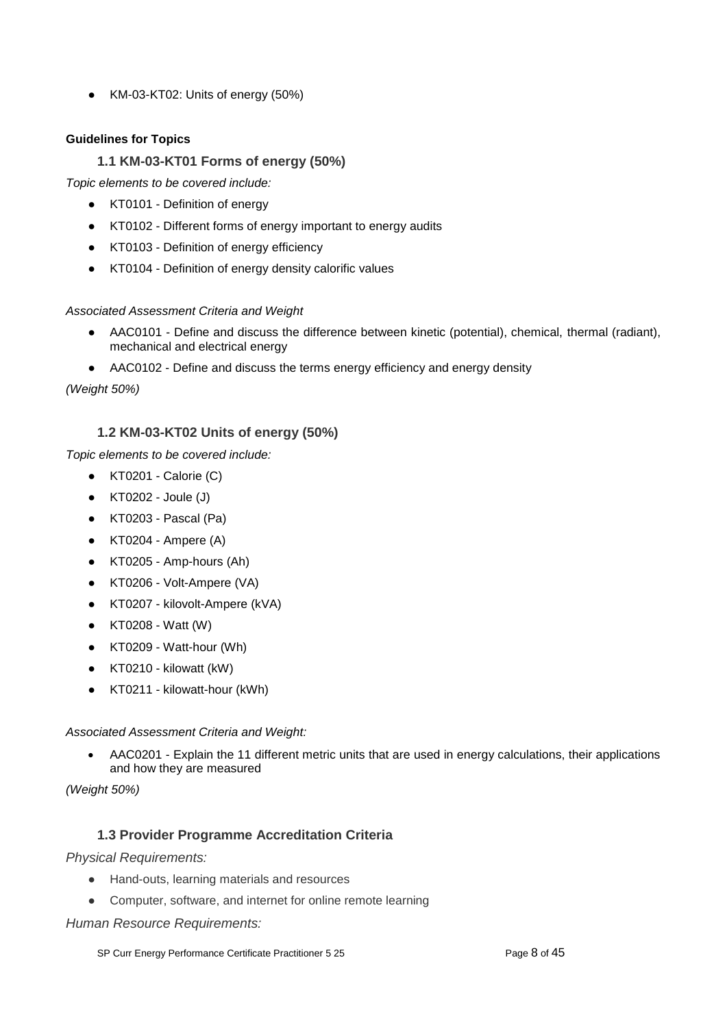● KM-03-KT02: Units of energy (50%)

### <span id="page-7-0"></span>**Guidelines for Topics**

### **1.1 KM-03-KT01 Forms of energy (50%)**

*Topic elements to be covered include:*

- KT0101 Definition of energy
- KT0102 Different forms of energy important to energy audits
- KT0103 Definition of energy efficiency
- KT0104 Definition of energy density calorific values

### *Associated Assessment Criteria and Weight*

- AAC0101 Define and discuss the difference between kinetic (potential), chemical, thermal (radiant), mechanical and electrical energy
- AAC0102 Define and discuss the terms energy efficiency and energy density

*(Weight 50%)*

### **1.2 KM-03-KT02 Units of energy (50%)**

<span id="page-7-1"></span>*Topic elements to be covered include:*

- $\bullet$  KT0201 Calorie  $(C)$
- KT0202 Joule (J)
- KT0203 Pascal (Pa)
- KT0204 Ampere (A)
- KT0205 Amp-hours (Ah)
- KT0206 Volt-Ampere (VA)
- KT0207 kilovolt-Ampere (kVA)
- KT0208 Watt (W)
- KT0209 Watt-hour (Wh)
- KT0210 kilowatt (kW)
- KT0211 kilowatt-hour (kWh)

#### *Associated Assessment Criteria and Weight:*

• AAC0201 - Explain the 11 different metric units that are used in energy calculations, their applications and how they are measured

*(Weight 50%)*

### **1.3 Provider Programme Accreditation Criteria**

<span id="page-7-2"></span>*Physical Requirements:*

- Hand-outs, learning materials and resources
- Computer, software, and internet for online remote learning

*Human Resource Requirements:*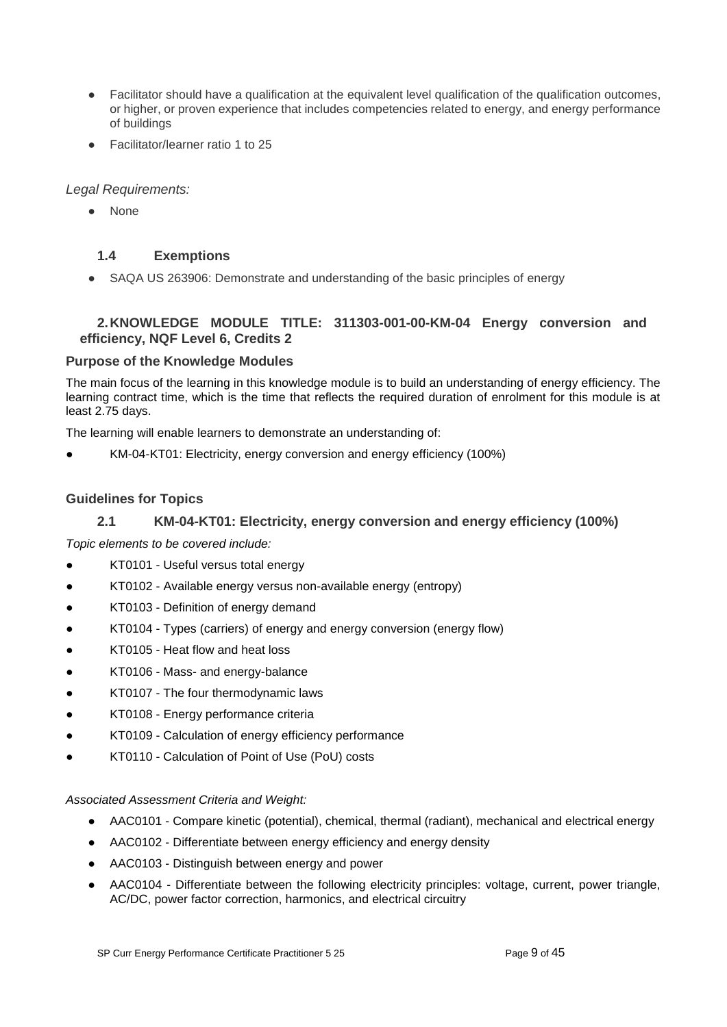- Facilitator should have a qualification at the equivalent level qualification of the qualification outcomes, or higher, or proven experience that includes competencies related to energy, and energy performance of buildings
- Facilitator/learner ratio 1 to 25

### *Legal Requirements:*

● None

### <span id="page-8-0"></span>**1.4 Exemptions**

• SAQA US 263906: Demonstrate and understanding of the basic principles of energy

### <span id="page-8-1"></span>**2.KNOWLEDGE MODULE TITLE: 311303-001-00-KM-04 Energy conversion and efficiency, NQF Level 6, Credits 2**

### **Purpose of the Knowledge Modules**

The main focus of the learning in this knowledge module is to build an understanding of energy efficiency. The learning contract time, which is the time that reflects the required duration of enrolment for this module is at least 2.75 days.

The learning will enable learners to demonstrate an understanding of:

KM-04-KT01: Electricity, energy conversion and energy efficiency (100%)

### **Guidelines for Topics**

### **2.1 KM-04-KT01: Electricity, energy conversion and energy efficiency (100%)**

<span id="page-8-2"></span>*Topic elements to be covered include:*

- KT0101 Useful versus total energy
- KT0102 Available energy versus non-available energy (entropy)
- KT0103 Definition of energy demand
- KT0104 Types (carriers) of energy and energy conversion (energy flow)
- KT0105 Heat flow and heat loss
- KT0106 Mass- and energy-balance
- KT0107 The four thermodynamic laws
- KT0108 Energy performance criteria
- KT0109 Calculation of energy efficiency performance
- KT0110 Calculation of Point of Use (PoU) costs

#### *Associated Assessment Criteria and Weight:*

- AAC0101 Compare kinetic (potential), chemical, thermal (radiant), mechanical and electrical energy
- AAC0102 Differentiate between energy efficiency and energy density
- AAC0103 Distinguish between energy and power
- AAC0104 Differentiate between the following electricity principles: voltage, current, power triangle, AC/DC, power factor correction, harmonics, and electrical circuitry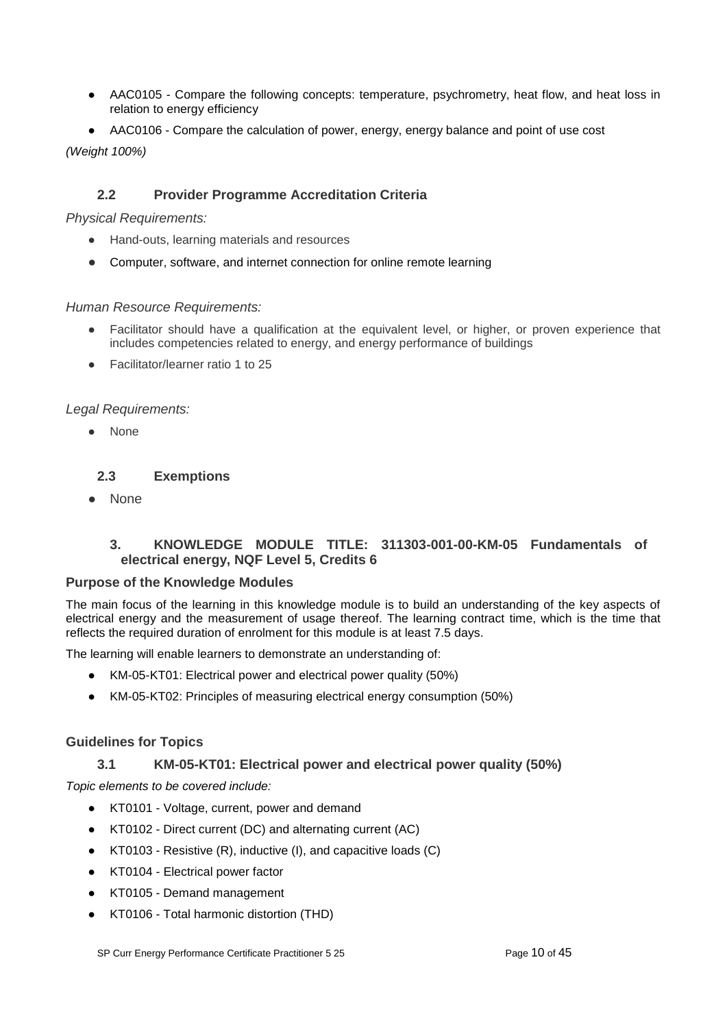- AAC0105 Compare the following concepts: temperature, psychrometry, heat flow, and heat loss in relation to energy efficiency
- AAC0106 Compare the calculation of power, energy, energy balance and point of use cost

*(Weight 100%)*

### **2.2 Provider Programme Accreditation Criteria**

### <span id="page-9-0"></span>*Physical Requirements:*

- Hand-outs, learning materials and resources
- Computer, software, and internet connection for online remote learning

### *Human Resource Requirements:*

- Facilitator should have a qualification at the equivalent level, or higher, or proven experience that includes competencies related to energy, and energy performance of buildings
- Facilitator/learner ratio 1 to 25

### *Legal Requirements:*

● None

### <span id="page-9-1"></span>**2.3 Exemptions**

● None

### **3. KNOWLEDGE MODULE TITLE: 311303-001-00-KM-05 Fundamentals of electrical energy, NQF Level 5, Credits 6**

#### <span id="page-9-2"></span>**Purpose of the Knowledge Modules**

The main focus of the learning in this knowledge module is to build an understanding of the key aspects of electrical energy and the measurement of usage thereof. The learning contract time, which is the time that reflects the required duration of enrolment for this module is at least 7.5 days.

The learning will enable learners to demonstrate an understanding of:

- KM-05-KT01: Electrical power and electrical power quality (50%)
- KM-05-KT02: Principles of measuring electrical energy consumption (50%)

### <span id="page-9-3"></span>**Guidelines for Topics**

### **3.1 KM-05-KT01: Electrical power and electrical power quality (50%)**

*Topic elements to be covered include:*

- KT0101 Voltage, current, power and demand
- KT0102 Direct current (DC) and alternating current (AC)
- KT0103 Resistive (R), inductive (I), and capacitive loads (C)
- KT0104 Electrical power factor
- KT0105 Demand management
- KT0106 Total harmonic distortion (THD)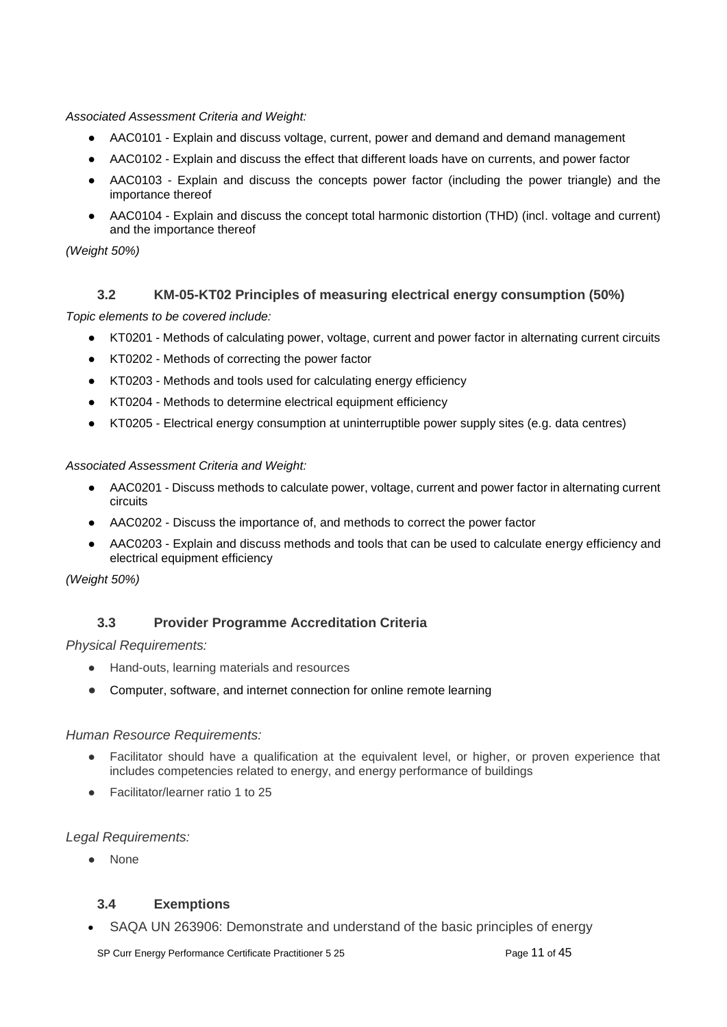*Associated Assessment Criteria and Weight:*

- AAC0101 Explain and discuss voltage, current, power and demand and demand management
- AAC0102 Explain and discuss the effect that different loads have on currents, and power factor
- AAC0103 Explain and discuss the concepts power factor (including the power triangle) and the importance thereof
- AAC0104 Explain and discuss the concept total harmonic distortion (THD) (incl. voltage and current) and the importance thereof

*(Weight 50%)*

### **3.2 KM-05-KT02 Principles of measuring electrical energy consumption (50%)**

<span id="page-10-0"></span>*Topic elements to be covered include:*

- KT0201 Methods of calculating power, voltage, current and power factor in alternating current circuits
- KT0202 Methods of correcting the power factor
- KT0203 Methods and tools used for calculating energy efficiency
- KT0204 Methods to determine electrical equipment efficiency
- KT0205 Electrical energy consumption at uninterruptible power supply sites (e.g. data centres)

*Associated Assessment Criteria and Weight:*

- AAC0201 Discuss methods to calculate power, voltage, current and power factor in alternating current circuits
- AAC0202 Discuss the importance of, and methods to correct the power factor
- AAC0203 Explain and discuss methods and tools that can be used to calculate energy efficiency and electrical equipment efficiency

*(Weight 50%)*

### **3.3 Provider Programme Accreditation Criteria**

<span id="page-10-1"></span>*Physical Requirements:*

- Hand-outs, learning materials and resources
- Computer, software, and internet connection for online remote learning

#### *Human Resource Requirements:*

- Facilitator should have a qualification at the equivalent level, or higher, or proven experience that includes competencies related to energy, and energy performance of buildings
- Facilitator/learner ratio 1 to 25

#### *Legal Requirements:*

**None** 

### <span id="page-10-2"></span>**3.4 Exemptions**

• SAQA UN 263906: Demonstrate and understand of the basic principles of energy

SP Curr Energy Performance Certificate Practitioner 5 25 Page 11 of 45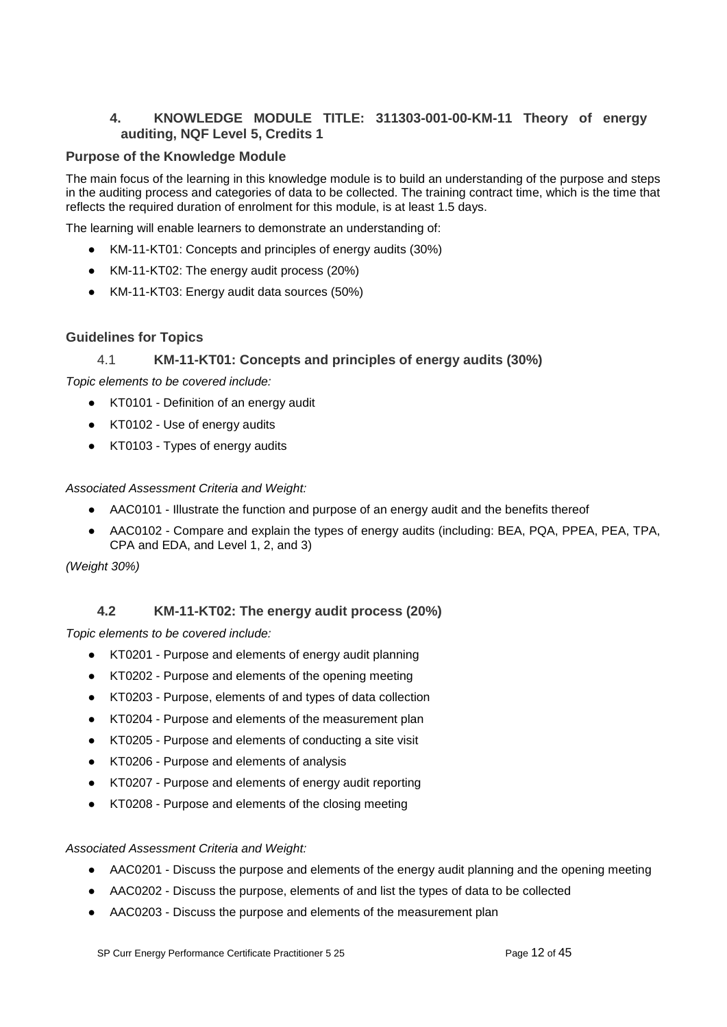### **4. KNOWLEDGE MODULE TITLE: 311303-001-00-KM-11 Theory of energy auditing, NQF Level 5, Credits 1**

### <span id="page-11-0"></span>**Purpose of the Knowledge Module**

The main focus of the learning in this knowledge module is to build an understanding of the purpose and steps in the auditing process and categories of data to be collected. The training contract time, which is the time that reflects the required duration of enrolment for this module, is at least 1.5 days.

The learning will enable learners to demonstrate an understanding of:

- KM-11-KT01: Concepts and principles of energy audits (30%)
- KM-11-KT02: The energy audit process (20%)
- KM-11-KT03: Energy audit data sources (50%)

### **Guidelines for Topics**

### 4.1 **KM-11-KT01: Concepts and principles of energy audits (30%)**

<span id="page-11-1"></span>*Topic elements to be covered include:*

- KT0101 Definition of an energy audit
- KT0102 Use of energy audits
- KT0103 Types of energy audits

*Associated Assessment Criteria and Weight:*

- AAC0101 Illustrate the function and purpose of an energy audit and the benefits thereof
- AAC0102 Compare and explain the types of energy audits (including: BEA, PQA, PPEA, PEA, TPA, CPA and EDA, and Level 1, 2, and 3)

*(Weight 30%)*

### **4.2 KM-11-KT02: The energy audit process (20%)**

<span id="page-11-2"></span>*Topic elements to be covered include:*

- KT0201 Purpose and elements of energy audit planning
- KT0202 Purpose and elements of the opening meeting
- KT0203 Purpose, elements of and types of data collection
- KT0204 Purpose and elements of the measurement plan
- KT0205 Purpose and elements of conducting a site visit
- KT0206 Purpose and elements of analysis
- KT0207 Purpose and elements of energy audit reporting
- KT0208 Purpose and elements of the closing meeting

#### *Associated Assessment Criteria and Weight:*

- AAC0201 Discuss the purpose and elements of the energy audit planning and the opening meeting
- AAC0202 Discuss the purpose, elements of and list the types of data to be collected
- AAC0203 Discuss the purpose and elements of the measurement plan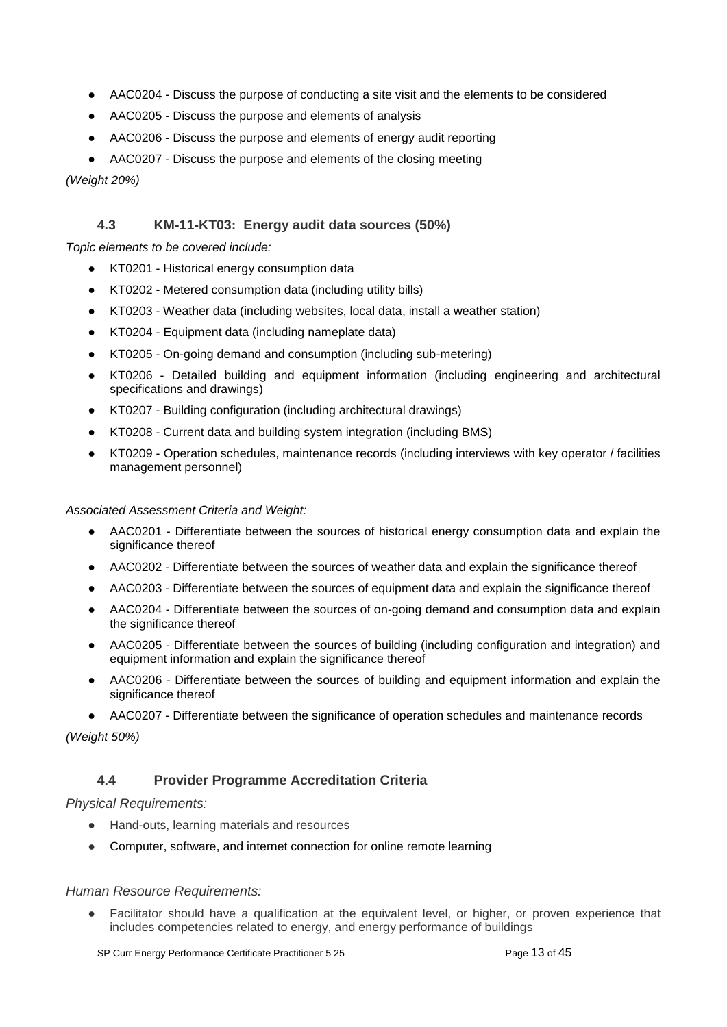- AAC0204 Discuss the purpose of conducting a site visit and the elements to be considered
- AAC0205 Discuss the purpose and elements of analysis
- AAC0206 Discuss the purpose and elements of energy audit reporting
- AAC0207 Discuss the purpose and elements of the closing meeting

*(Weight 20%)*

### **4.3 KM-11-KT03: Energy audit data sources (50%)**

<span id="page-12-0"></span>*Topic elements to be covered include:*

- KT0201 Historical energy consumption data
- KT0202 Metered consumption data (including utility bills)
- KT0203 Weather data (including websites, local data, install a weather station)
- KT0204 Equipment data (including nameplate data)
- KT0205 On-going demand and consumption (including sub-metering)
- KT0206 Detailed building and equipment information (including engineering and architectural specifications and drawings)
- KT0207 Building configuration (including architectural drawings)
- KT0208 Current data and building system integration (including BMS)
- KT0209 Operation schedules, maintenance records (including interviews with key operator / facilities management personnel)

*Associated Assessment Criteria and Weight:*

- AAC0201 Differentiate between the sources of historical energy consumption data and explain the significance thereof
- AAC0202 Differentiate between the sources of weather data and explain the significance thereof
- AAC0203 Differentiate between the sources of equipment data and explain the significance thereof
- AAC0204 Differentiate between the sources of on-going demand and consumption data and explain the significance thereof
- AAC0205 Differentiate between the sources of building (including configuration and integration) and equipment information and explain the significance thereof
- AAC0206 Differentiate between the sources of building and equipment information and explain the significance thereof
- AAC0207 Differentiate between the significance of operation schedules and maintenance records

*(Weight 50%)*

#### **4.4 Provider Programme Accreditation Criteria**

#### <span id="page-12-1"></span>*Physical Requirements:*

- Hand-outs, learning materials and resources
- Computer, software, and internet connection for online remote learning

#### *Human Resource Requirements:*

● Facilitator should have a qualification at the equivalent level, or higher, or proven experience that includes competencies related to energy, and energy performance of buildings

SP Curr Energy Performance Certificate Practitioner 5 25 Page 13 of 45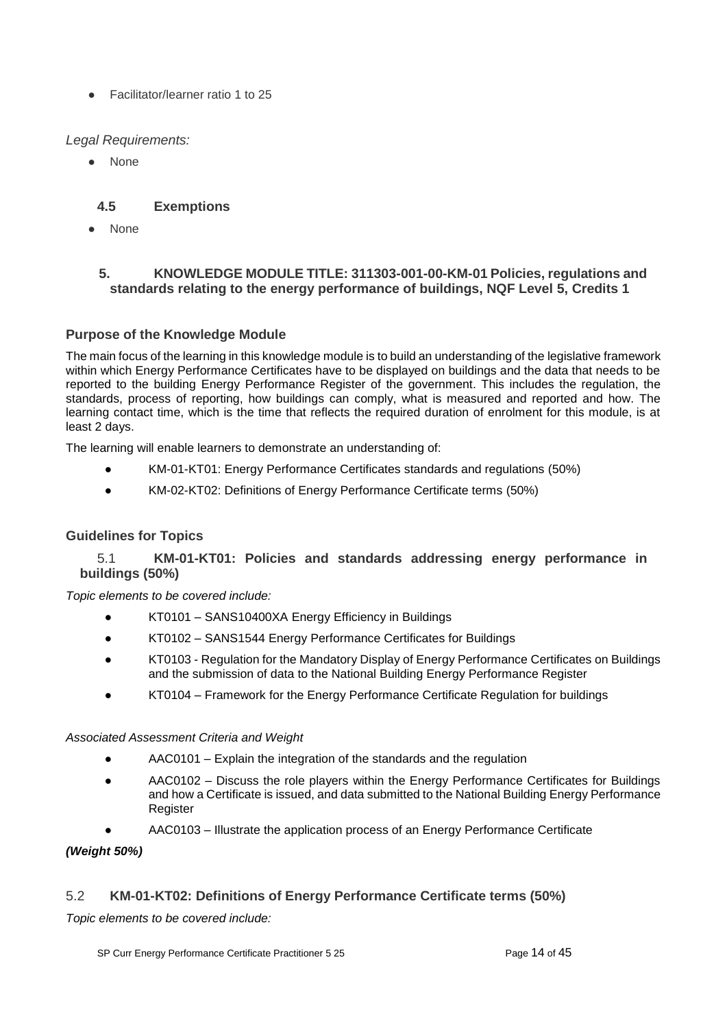● Facilitator/learner ratio 1 to 25

### *Legal Requirements:*

● None

### **4.5 Exemptions**

<span id="page-13-0"></span>**None** 

### <span id="page-13-1"></span>**5. KNOWLEDGE MODULE TITLE: 311303-001-00-KM-01 Policies, regulations and standards relating to the energy performance of buildings, NQF Level 5, Credits 1**

### **Purpose of the Knowledge Module**

The main focus of the learning in this knowledge module is to build an understanding of the legislative framework within which Energy Performance Certificates have to be displayed on buildings and the data that needs to be reported to the building Energy Performance Register of the government. This includes the regulation, the standards, process of reporting, how buildings can comply, what is measured and reported and how. The learning contact time, which is the time that reflects the required duration of enrolment for this module, is at least 2 days.

The learning will enable learners to demonstrate an understanding of:

- KM-01-KT01: Energy Performance Certificates standards and regulations (50%)
- KM-02-KT02: Definitions of Energy Performance Certificate terms (50%)

### **Guidelines for Topics**

### <span id="page-13-2"></span>5.1 **KM-01-KT01: Policies and standards addressing energy performance in buildings (50%)**

*Topic elements to be covered include:*

- KT0101 SANS10400XA Energy Efficiency in Buildings
- KT0102 SANS1544 Energy Performance Certificates for Buildings
- KT0103 Regulation for the Mandatory Display of Energy Performance Certificates on Buildings and the submission of data to the National Building Energy Performance Register
- KT0104 Framework for the Energy Performance Certificate Regulation for buildings

#### *Associated Assessment Criteria and Weight*

- AAC0101 Explain the integration of the standards and the regulation
- AAC0102 Discuss the role players within the Energy Performance Certificates for Buildings and how a Certificate is issued, and data submitted to the National Building Energy Performance **Register**
- AAC0103 Illustrate the application process of an Energy Performance Certificate

### *(Weight 50%)*

### <span id="page-13-3"></span>5.2 **KM-01-KT02: Definitions of Energy Performance Certificate terms (50%)**

*Topic elements to be covered include:*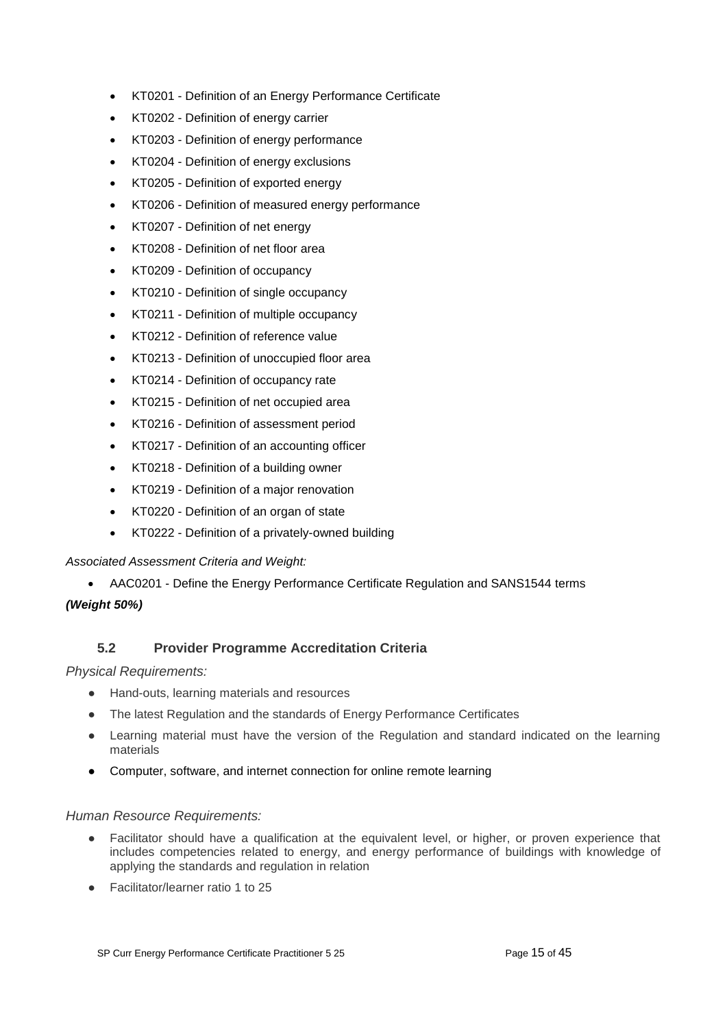- KT0201 Definition of an Energy Performance Certificate
- KT0202 Definition of energy carrier
- KT0203 Definition of energy performance
- KT0204 Definition of energy exclusions
- KT0205 Definition of exported energy
- KT0206 Definition of measured energy performance
- KT0207 Definition of net energy
- KT0208 Definition of net floor area
- KT0209 Definition of occupancy
- KT0210 Definition of single occupancy
- KT0211 Definition of multiple occupancy
- KT0212 Definition of reference value
- KT0213 Definition of unoccupied floor area
- KT0214 Definition of occupancy rate
- KT0215 Definition of net occupied area
- KT0216 Definition of assessment period
- KT0217 Definition of an accounting officer
- KT0218 Definition of a building owner
- KT0219 Definition of a major renovation
- KT0220 Definition of an organ of state
- KT0222 Definition of a privately-owned building

#### *Associated Assessment Criteria and Weight:*

• AAC0201 - Define the Energy Performance Certificate Regulation and SANS1544 terms

#### *(Weight 50%)*

### **5.2 Provider Programme Accreditation Criteria**

#### <span id="page-14-0"></span>*Physical Requirements:*

- Hand-outs, learning materials and resources
- The latest Regulation and the standards of Energy Performance Certificates
- Learning material must have the version of the Regulation and standard indicated on the learning materials
- Computer, software, and internet connection for online remote learning

#### *Human Resource Requirements:*

- Facilitator should have a qualification at the equivalent level, or higher, or proven experience that includes competencies related to energy, and energy performance of buildings with knowledge of applying the standards and regulation in relation
- Facilitator/learner ratio 1 to 25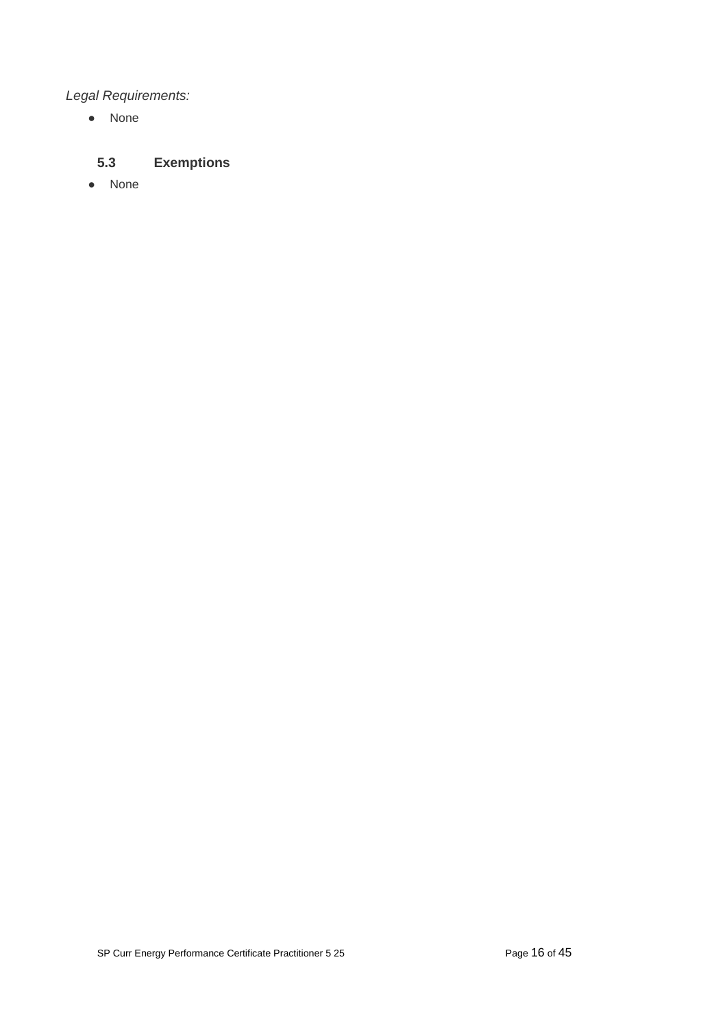# *Legal Requirements:*

● None

# <span id="page-15-0"></span>**5.3 Exemptions**

● None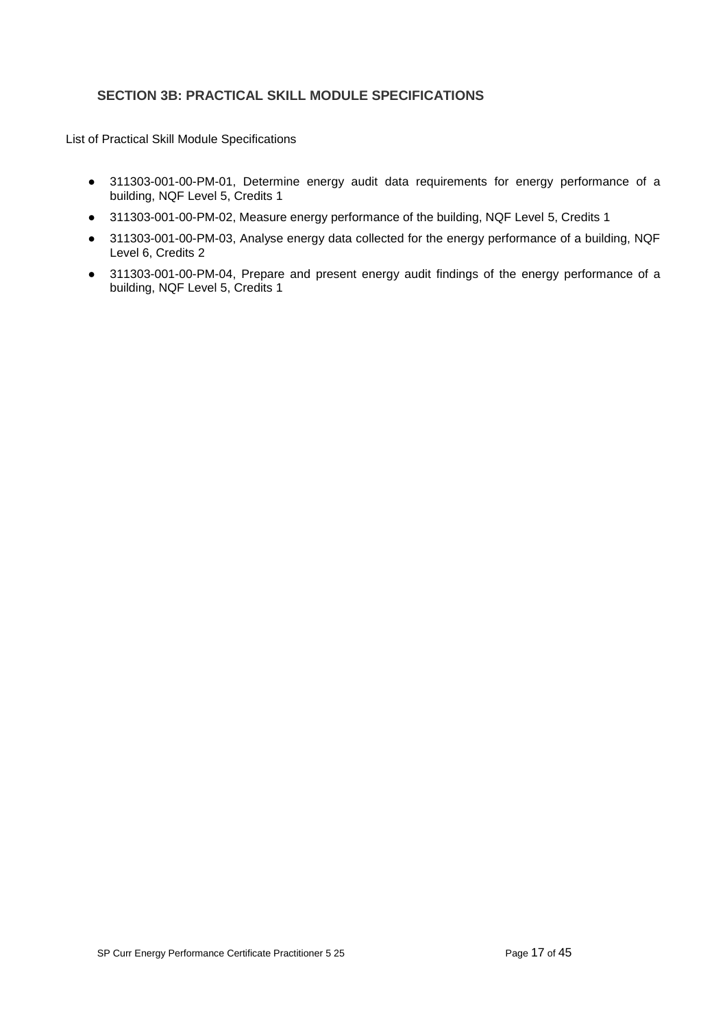### <span id="page-16-0"></span>**SECTION 3B: PRACTICAL SKILL MODULE SPECIFICATIONS**

List of Practical Skill Module Specifications

- 311303-001-00-PM-01, Determine energy audit data requirements for energy performance of a building, NQF Level 5, Credits 1
- 311303-001-00-PM-02, Measure energy performance of the building, NQF Level 5, Credits 1
- 311303-001-00-PM-03, Analyse energy data collected for the energy performance of a building, NQF Level 6, Credits 2
- 311303-001-00-PM-04, Prepare and present energy audit findings of the energy performance of a building, NQF Level 5, Credits 1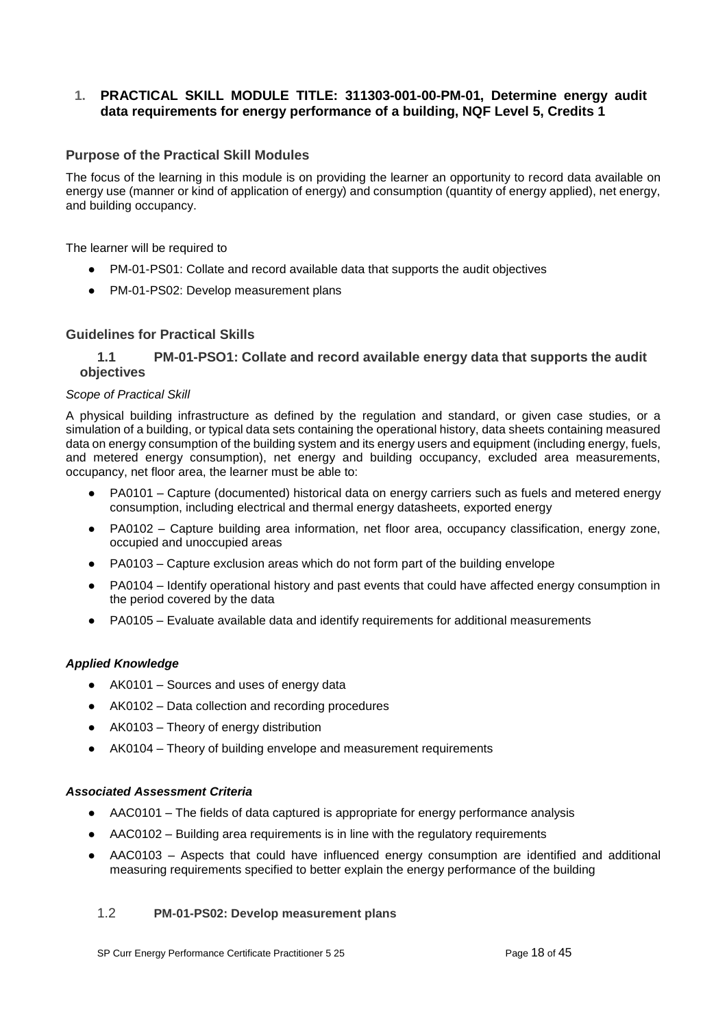### <span id="page-17-0"></span>**1. PRACTICAL SKILL MODULE TITLE: 311303-001-00-PM-01, Determine energy audit data requirements for energy performance of a building, NQF Level 5, Credits 1**

### **Purpose of the Practical Skill Modules**

The focus of the learning in this module is on providing the learner an opportunity to record data available on energy use (manner or kind of application of energy) and consumption (quantity of energy applied), net energy, and building occupancy.

The learner will be required to

- PM-01-PS01: Collate and record available data that supports the audit objectives
- PM-01-PS02: Develop measurement plans

#### **Guidelines for Practical Skills**

#### <span id="page-17-1"></span>**1.1 PM-01-PSO1: Collate and record available energy data that supports the audit objectives**

#### *Scope of Practical Skill*

A physical building infrastructure as defined by the regulation and standard, or given case studies, or a simulation of a building, or typical data sets containing the operational history, data sheets containing measured data on energy consumption of the building system and its energy users and equipment (including energy, fuels, and metered energy consumption), net energy and building occupancy, excluded area measurements, occupancy, net floor area, the learner must be able to:

- PA0101 Capture (documented) historical data on energy carriers such as fuels and metered energy consumption, including electrical and thermal energy datasheets, exported energy
- PA0102 Capture building area information, net floor area, occupancy classification, energy zone, occupied and unoccupied areas
- PA0103 Capture exclusion areas which do not form part of the building envelope
- PA0104 Identify operational history and past events that could have affected energy consumption in the period covered by the data
- PA0105 Evaluate available data and identify requirements for additional measurements

#### *Applied Knowledge*

- AK0101 Sources and uses of energy data
- AK0102 Data collection and recording procedures
- AK0103 Theory of energy distribution
- AK0104 Theory of building envelope and measurement requirements

#### *Associated Assessment Criteria*

- AAC0101 The fields of data captured is appropriate for energy performance analysis
- AAC0102 Building area requirements is in line with the regulatory requirements
- AAC0103 Aspects that could have influenced energy consumption are identified and additional measuring requirements specified to better explain the energy performance of the building

#### <span id="page-17-2"></span>1.2 **PM-01-PS02: Develop measurement plans**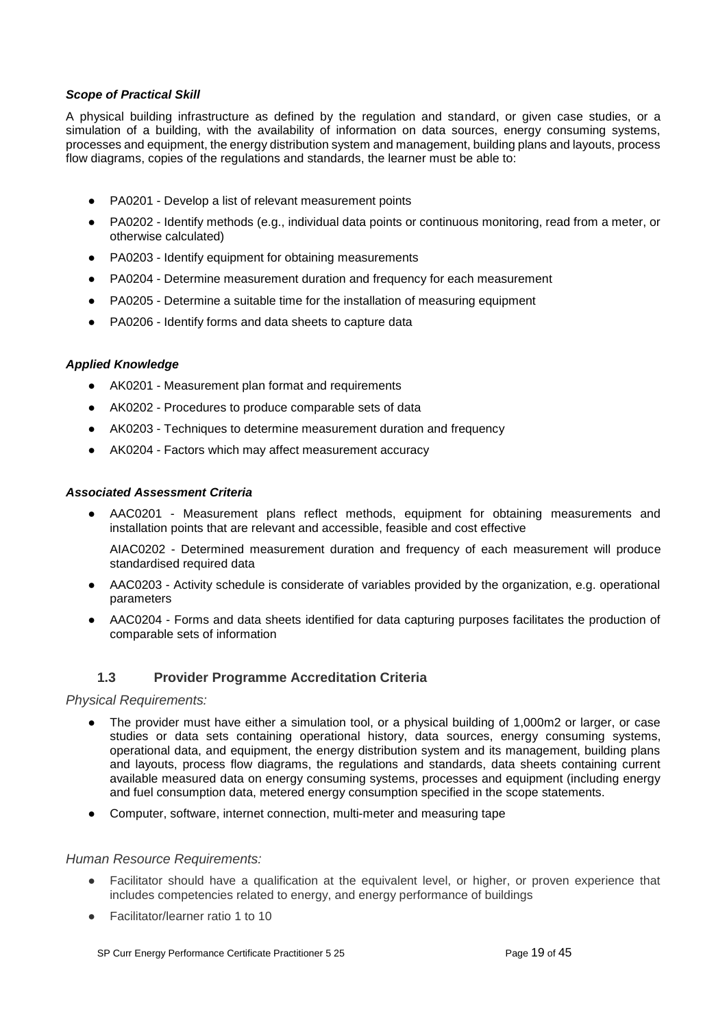#### *Scope of Practical Skill*

A physical building infrastructure as defined by the regulation and standard, or given case studies, or a simulation of a building, with the availability of information on data sources, energy consuming systems, processes and equipment, the energy distribution system and management, building plans and layouts, process flow diagrams, copies of the regulations and standards, the learner must be able to:

- PA0201 Develop a list of relevant measurement points
- PA0202 Identify methods (e.g., individual data points or continuous monitoring, read from a meter, or otherwise calculated)
- PA0203 Identify equipment for obtaining measurements
- PA0204 Determine measurement duration and frequency for each measurement
- PA0205 Determine a suitable time for the installation of measuring equipment
- PA0206 Identify forms and data sheets to capture data

#### *Applied Knowledge*

- AK0201 Measurement plan format and requirements
- AK0202 Procedures to produce comparable sets of data
- AK0203 Techniques to determine measurement duration and frequency
- AK0204 Factors which may affect measurement accuracy

#### *Associated Assessment Criteria*

AAC0201 - Measurement plans reflect methods, equipment for obtaining measurements and installation points that are relevant and accessible, feasible and cost effective

AIAC0202 - Determined measurement duration and frequency of each measurement will produce standardised required data

- AAC0203 Activity schedule is considerate of variables provided by the organization, e.g. operational parameters
- AAC0204 Forms and data sheets identified for data capturing purposes facilitates the production of comparable sets of information

### **1.3 Provider Programme Accreditation Criteria**

<span id="page-18-0"></span>*Physical Requirements:*

- The provider must have either a simulation tool, or a physical building of 1,000m2 or larger, or case studies or data sets containing operational history, data sources, energy consuming systems, operational data, and equipment, the energy distribution system and its management, building plans and layouts, process flow diagrams, the regulations and standards, data sheets containing current available measured data on energy consuming systems, processes and equipment (including energy and fuel consumption data, metered energy consumption specified in the scope statements.
- Computer, software, internet connection, multi-meter and measuring tape

#### *Human Resource Requirements:*

- Facilitator should have a qualification at the equivalent level, or higher, or proven experience that includes competencies related to energy, and energy performance of buildings
- Facilitator/learner ratio 1 to 10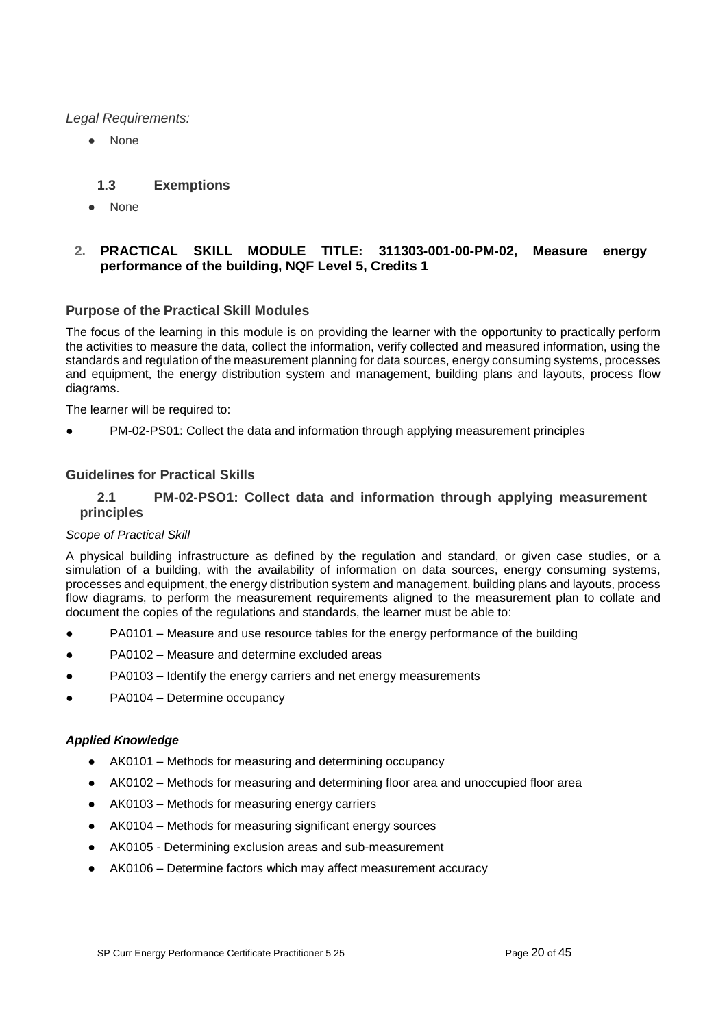*Legal Requirements:*

**None** 

### **1.3 Exemptions**

<span id="page-19-0"></span>● None

### <span id="page-19-1"></span>**2. PRACTICAL SKILL MODULE TITLE: 311303-001-00-PM-02, Measure energy performance of the building, NQF Level 5, Credits 1**

### **Purpose of the Practical Skill Modules**

The focus of the learning in this module is on providing the learner with the opportunity to practically perform the activities to measure the data, collect the information, verify collected and measured information, using the standards and regulation of the measurement planning for data sources, energy consuming systems, processes and equipment, the energy distribution system and management, building plans and layouts, process flow diagrams.

The learner will be required to:

PM-02-PS01: Collect the data and information through applying measurement principles

### **Guidelines for Practical Skills**

#### <span id="page-19-2"></span>**2.1 PM-02-PSO1: Collect data and information through applying measurement principles**

#### *Scope of Practical Skill*

A physical building infrastructure as defined by the regulation and standard, or given case studies, or a simulation of a building, with the availability of information on data sources, energy consuming systems, processes and equipment, the energy distribution system and management, building plans and layouts, process flow diagrams, to perform the measurement requirements aligned to the measurement plan to collate and document the copies of the regulations and standards, the learner must be able to:

- PA0101 Measure and use resource tables for the energy performance of the building
- PA0102 Measure and determine excluded areas
- PA0103 Identify the energy carriers and net energy measurements
- PA0104 Determine occupancy

#### *Applied Knowledge*

- AK0101 Methods for measuring and determining occupancy
- AK0102 Methods for measuring and determining floor area and unoccupied floor area
- AK0103 Methods for measuring energy carriers
- AK0104 Methods for measuring significant energy sources
- AK0105 Determining exclusion areas and sub-measurement
- AK0106 Determine factors which may affect measurement accuracy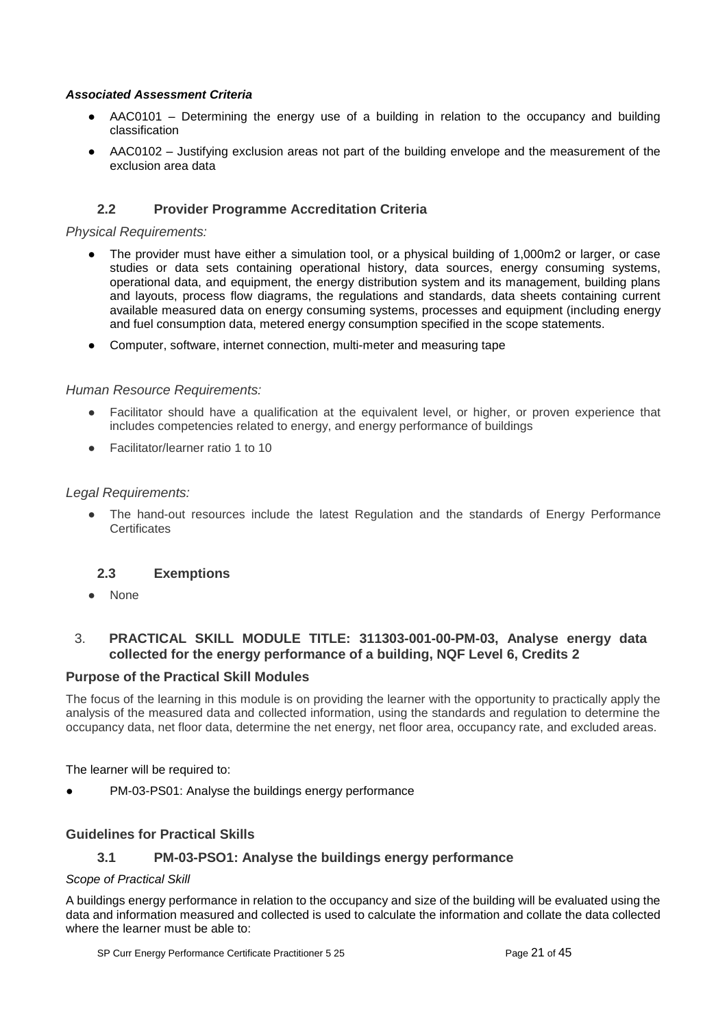### *Associated Assessment Criteria*

- AAC0101 Determining the energy use of a building in relation to the occupancy and building classification
- AAC0102 Justifying exclusion areas not part of the building envelope and the measurement of the exclusion area data

### **2.2 Provider Programme Accreditation Criteria**

#### <span id="page-20-0"></span>*Physical Requirements:*

- The provider must have either a simulation tool, or a physical building of 1,000m2 or larger, or case studies or data sets containing operational history, data sources, energy consuming systems, operational data, and equipment, the energy distribution system and its management, building plans and layouts, process flow diagrams, the regulations and standards, data sheets containing current available measured data on energy consuming systems, processes and equipment (including energy and fuel consumption data, metered energy consumption specified in the scope statements.
- Computer, software, internet connection, multi-meter and measuring tape

### *Human Resource Requirements:*

- Facilitator should have a qualification at the equivalent level, or higher, or proven experience that includes competencies related to energy, and energy performance of buildings
- Facilitator/learner ratio 1 to 10

#### *Legal Requirements:*

• The hand-out resources include the latest Regulation and the standards of Energy Performance **Certificates** 

### <span id="page-20-1"></span>**2.3 Exemptions**

● None

### <span id="page-20-2"></span>3. **PRACTICAL SKILL MODULE TITLE: 311303-001-00-PM-03, Analyse energy data collected for the energy performance of a building, NQF Level 6, Credits 2**

#### **Purpose of the Practical Skill Modules**

The focus of the learning in this module is on providing the learner with the opportunity to practically apply the analysis of the measured data and collected information, using the standards and regulation to determine the occupancy data, net floor data, determine the net energy, net floor area, occupancy rate, and excluded areas.

The learner will be required to:

PM-03-PS01: Analyse the buildings energy performance

### <span id="page-20-3"></span>**Guidelines for Practical Skills**

### **3.1 PM-03-PSO1: Analyse the buildings energy performance**

#### *Scope of Practical Skill*

A buildings energy performance in relation to the occupancy and size of the building will be evaluated using the data and information measured and collected is used to calculate the information and collate the data collected where the learner must be able to: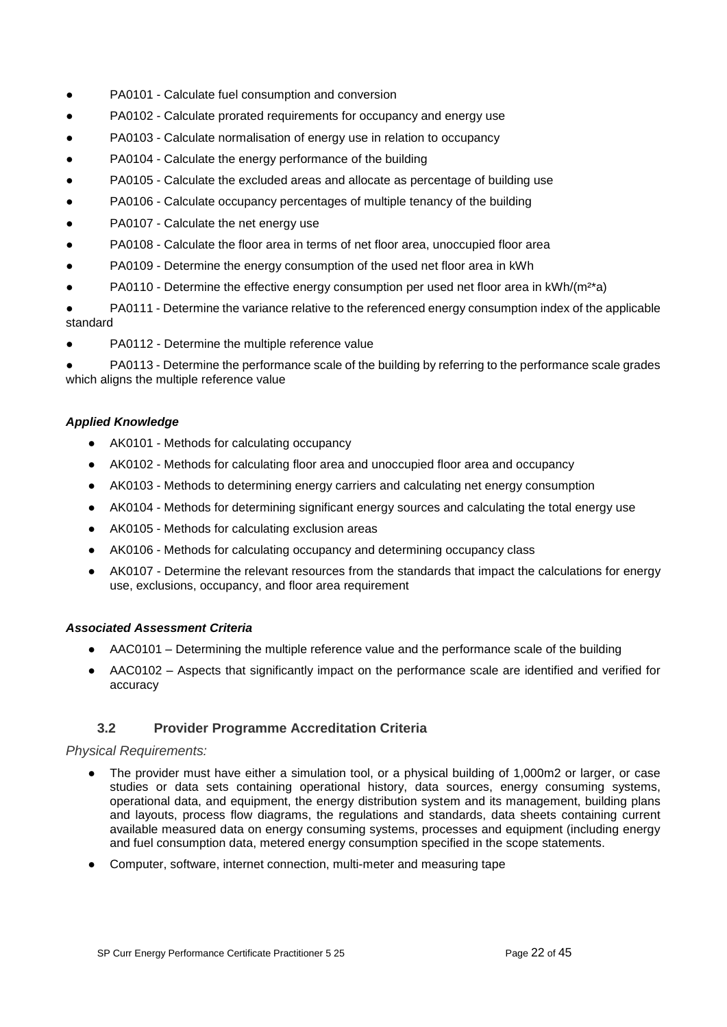- PA0101 Calculate fuel consumption and conversion
- PA0102 Calculate prorated requirements for occupancy and energy use
- PA0103 Calculate normalisation of energy use in relation to occupancy
- PA0104 Calculate the energy performance of the building
- PA0105 Calculate the excluded areas and allocate as percentage of building use
- PA0106 Calculate occupancy percentages of multiple tenancy of the building
- PA0107 Calculate the net energy use
- PA0108 Calculate the floor area in terms of net floor area, unoccupied floor area
- PA0109 Determine the energy consumption of the used net floor area in kWh
- PA0110 Determine the effective energy consumption per used net floor area in  $kWh/(m^2*)$
- PA0111 Determine the variance relative to the referenced energy consumption index of the applicable standard
- PA0112 Determine the multiple reference value

PA0113 - Determine the performance scale of the building by referring to the performance scale grades which aligns the multiple reference value

#### *Applied Knowledge*

- AK0101 Methods for calculating occupancy
- AK0102 Methods for calculating floor area and unoccupied floor area and occupancy
- AK0103 Methods to determining energy carriers and calculating net energy consumption
- AK0104 Methods for determining significant energy sources and calculating the total energy use
- AK0105 Methods for calculating exclusion areas
- AK0106 Methods for calculating occupancy and determining occupancy class
- AK0107 Determine the relevant resources from the standards that impact the calculations for energy use, exclusions, occupancy, and floor area requirement

#### *Associated Assessment Criteria*

- AAC0101 Determining the multiple reference value and the performance scale of the building
- AAC0102 Aspects that significantly impact on the performance scale are identified and verified for accuracy

### **3.2 Provider Programme Accreditation Criteria**

#### <span id="page-21-0"></span>*Physical Requirements:*

- The provider must have either a simulation tool, or a physical building of 1,000m2 or larger, or case studies or data sets containing operational history, data sources, energy consuming systems, operational data, and equipment, the energy distribution system and its management, building plans and layouts, process flow diagrams, the regulations and standards, data sheets containing current available measured data on energy consuming systems, processes and equipment (including energy and fuel consumption data, metered energy consumption specified in the scope statements.
- Computer, software, internet connection, multi-meter and measuring tape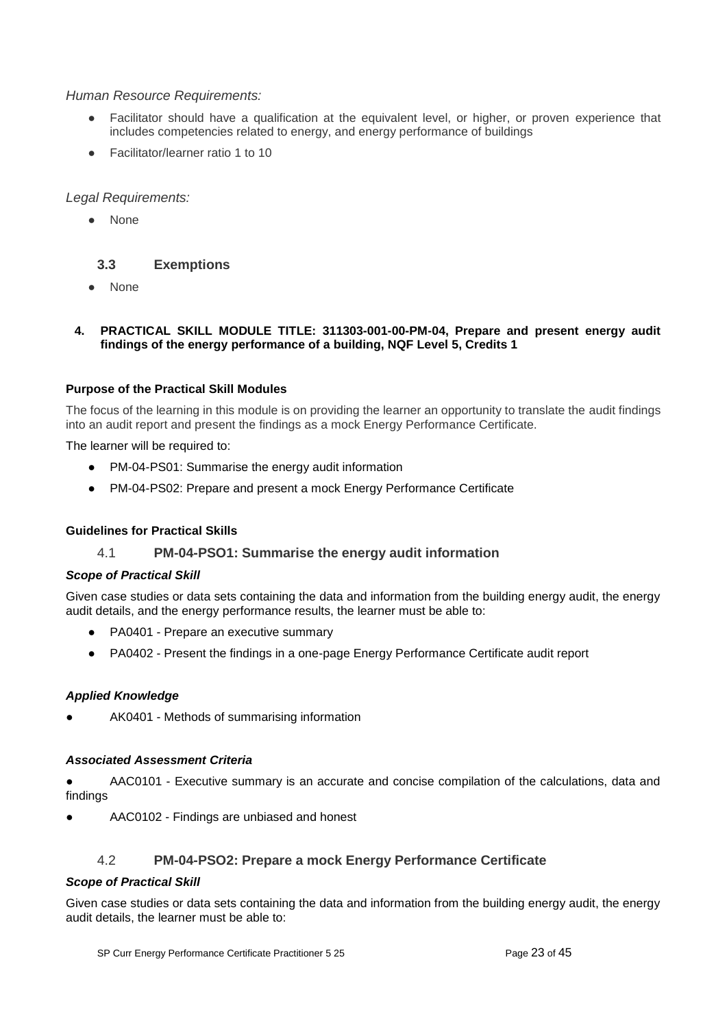### *Human Resource Requirements:*

- Facilitator should have a qualification at the equivalent level, or higher, or proven experience that includes competencies related to energy, and energy performance of buildings
- Facilitator/learner ratio 1 to 10

### *Legal Requirements:*

**None** 

### <span id="page-22-0"></span>**3.3 Exemptions**

**None** 

### <span id="page-22-1"></span>**4. PRACTICAL SKILL MODULE TITLE: 311303-001-00-PM-04, Prepare and present energy audit findings of the energy performance of a building, NQF Level 5, Credits 1**

### **Purpose of the Practical Skill Modules**

The focus of the learning in this module is on providing the learner an opportunity to translate the audit findings into an audit report and present the findings as a mock Energy Performance Certificate.

The learner will be required to:

- PM-04-PS01: Summarise the energy audit information
- PM-04-PS02: Prepare and present a mock Energy Performance Certificate

#### <span id="page-22-2"></span>**Guidelines for Practical Skills**

#### 4.1 **PM-04-PSO1: Summarise the energy audit information**

#### *Scope of Practical Skill*

Given case studies or data sets containing the data and information from the building energy audit, the energy audit details, and the energy performance results, the learner must be able to:

- PA0401 Prepare an executive summary
- PA0402 Present the findings in a one-page Energy Performance Certificate audit report

#### *Applied Knowledge*

AK0401 - Methods of summarising information

#### *Associated Assessment Criteria*

AAC0101 - Executive summary is an accurate and concise compilation of the calculations, data and findings

AAC0102 - Findings are unbiased and honest

### 4.2 **PM-04-PSO2: Prepare a mock Energy Performance Certificate**

#### <span id="page-22-3"></span>*Scope of Practical Skill*

Given case studies or data sets containing the data and information from the building energy audit, the energy audit details, the learner must be able to: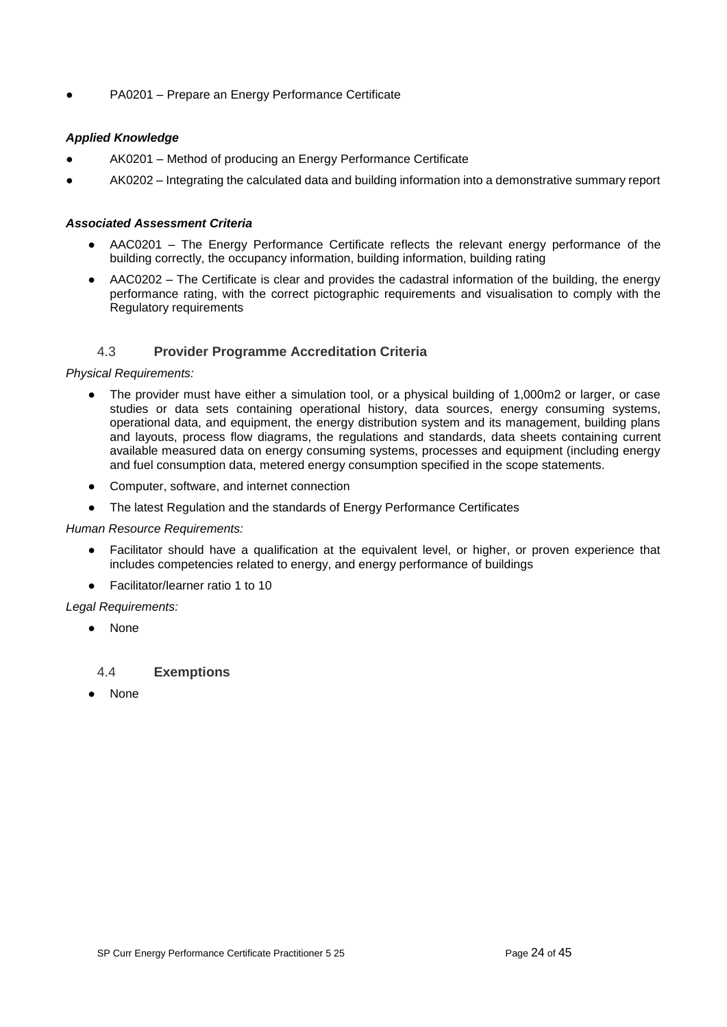PA0201 – Prepare an Energy Performance Certificate

### *Applied Knowledge*

- AK0201 Method of producing an Energy Performance Certificate
- AK0202 Integrating the calculated data and building information into a demonstrative summary report

#### *Associated Assessment Criteria*

- AAC0201 The Energy Performance Certificate reflects the relevant energy performance of the building correctly, the occupancy information, building information, building rating
- AAC0202 The Certificate is clear and provides the cadastral information of the building, the energy performance rating, with the correct pictographic requirements and visualisation to comply with the Regulatory requirements

### 4.3 **Provider Programme Accreditation Criteria**

#### <span id="page-23-0"></span>*Physical Requirements:*

- The provider must have either a simulation tool, or a physical building of 1,000m2 or larger, or case studies or data sets containing operational history, data sources, energy consuming systems, operational data, and equipment, the energy distribution system and its management, building plans and layouts, process flow diagrams, the regulations and standards, data sheets containing current available measured data on energy consuming systems, processes and equipment (including energy and fuel consumption data, metered energy consumption specified in the scope statements.
- Computer, software, and internet connection
- The latest Regulation and the standards of Energy Performance Certificates

#### *Human Resource Requirements:*

- Facilitator should have a qualification at the equivalent level, or higher, or proven experience that includes competencies related to energy, and energy performance of buildings
- Facilitator/learner ratio 1 to 10

#### *Legal Requirements:*

**None** 

### <span id="page-23-1"></span>4.4 **Exemptions**

● None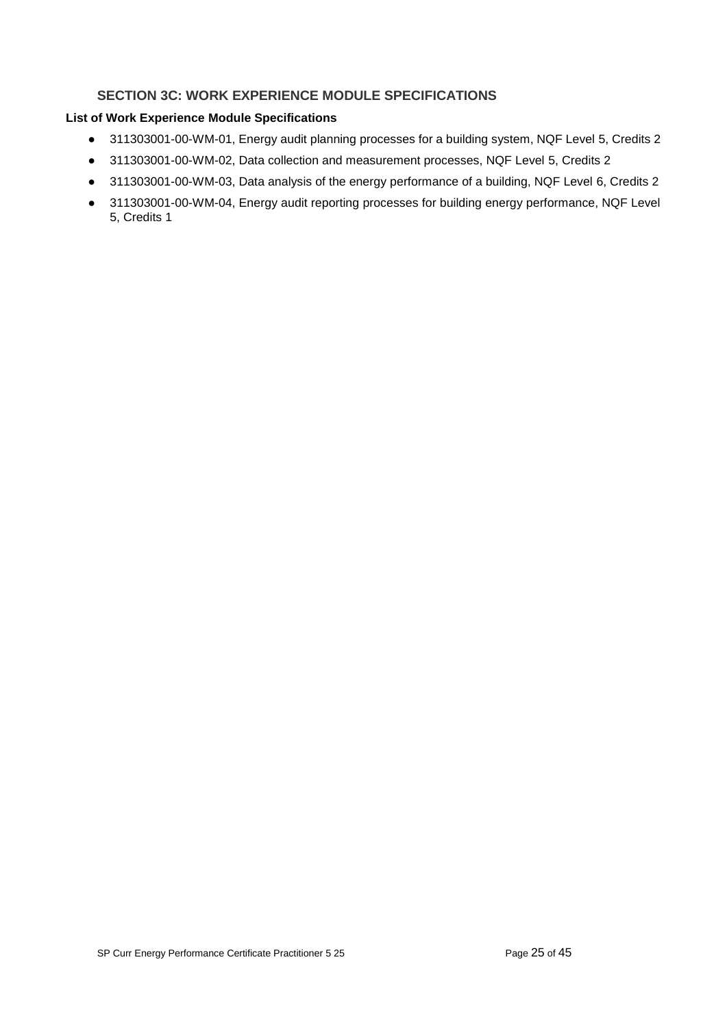### **SECTION 3C: WORK EXPERIENCE MODULE SPECIFICATIONS**

## <span id="page-24-0"></span>**List of Work Experience Module Specifications**

- 311303001-00-WM-01, Energy audit planning processes for a building system, NQF Level 5, Credits 2
- 311303001-00-WM-02, Data collection and measurement processes, NQF Level 5, Credits 2
- 311303001-00-WM-03, Data analysis of the energy performance of a building, NQF Level 6, Credits 2
- 311303001-00-WM-04, Energy audit reporting processes for building energy performance, NQF Level 5, Credits 1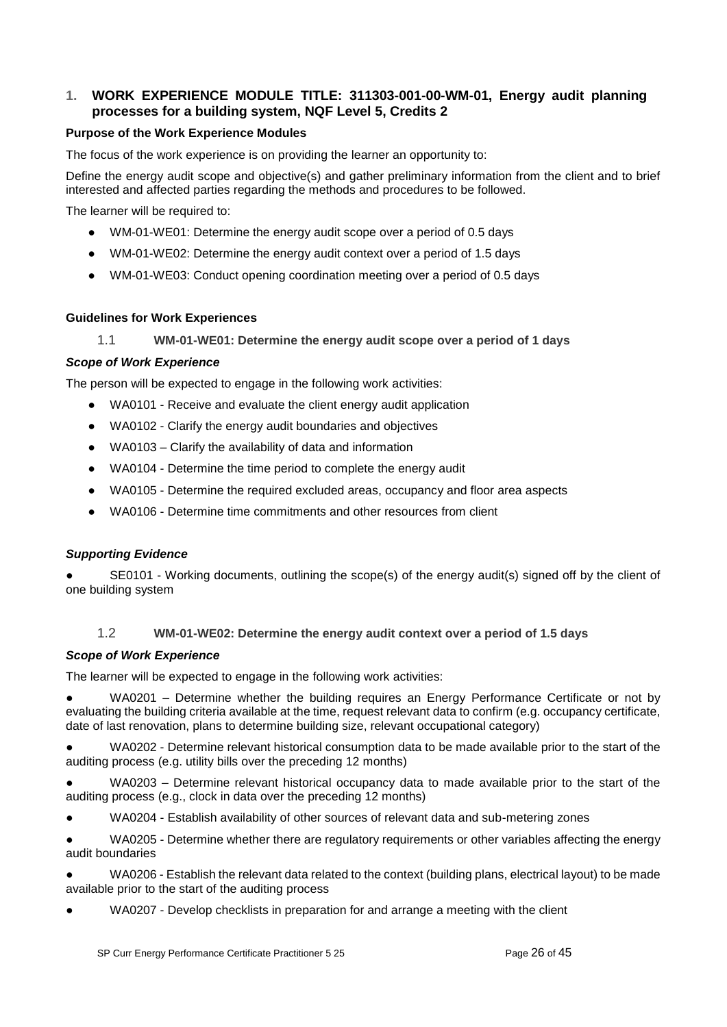### <span id="page-25-0"></span>**1. WORK EXPERIENCE MODULE TITLE: 311303-001-00-WM-01, Energy audit planning processes for a building system, NQF Level 5, Credits 2**

### **Purpose of the Work Experience Modules**

The focus of the work experience is on providing the learner an opportunity to:

Define the energy audit scope and objective(s) and gather preliminary information from the client and to brief interested and affected parties regarding the methods and procedures to be followed.

The learner will be required to:

- WM-01-WE01: Determine the energy audit scope over a period of 0.5 days
- WM-01-WE02: Determine the energy audit context over a period of 1.5 days
- WM-01-WE03: Conduct opening coordination meeting over a period of 0.5 days

#### <span id="page-25-1"></span>**Guidelines for Work Experiences**

1.1 **WM-01-WE01: Determine the energy audit scope over a period of 1 days** 

#### *Scope of Work Experience*

The person will be expected to engage in the following work activities:

- WA0101 Receive and evaluate the client energy audit application
- WA0102 Clarify the energy audit boundaries and objectives
- WA0103 Clarify the availability of data and information
- WA0104 Determine the time period to complete the energy audit
- WA0105 Determine the required excluded areas, occupancy and floor area aspects
- WA0106 Determine time commitments and other resources from client

#### *Supporting Evidence*

SE0101 - Working documents, outlining the scope(s) of the energy audit(s) signed off by the client of one building system

#### 1.2 **WM-01-WE02: Determine the energy audit context over a period of 1.5 days**

#### <span id="page-25-2"></span>*Scope of Work Experience*

The learner will be expected to engage in the following work activities:

WA0201 – Determine whether the building requires an Energy Performance Certificate or not by evaluating the building criteria available at the time, request relevant data to confirm (e.g. occupancy certificate, date of last renovation, plans to determine building size, relevant occupational category)

WA0202 - Determine relevant historical consumption data to be made available prior to the start of the auditing process (e.g. utility bills over the preceding 12 months)

WA0203 – Determine relevant historical occupancy data to made available prior to the start of the auditing process (e.g., clock in data over the preceding 12 months)

WA0204 - Establish availability of other sources of relevant data and sub-metering zones

WA0205 - Determine whether there are regulatory requirements or other variables affecting the energy audit boundaries

● WA0206 - Establish the relevant data related to the context (building plans, electrical layout) to be made available prior to the start of the auditing process

WA0207 - Develop checklists in preparation for and arrange a meeting with the client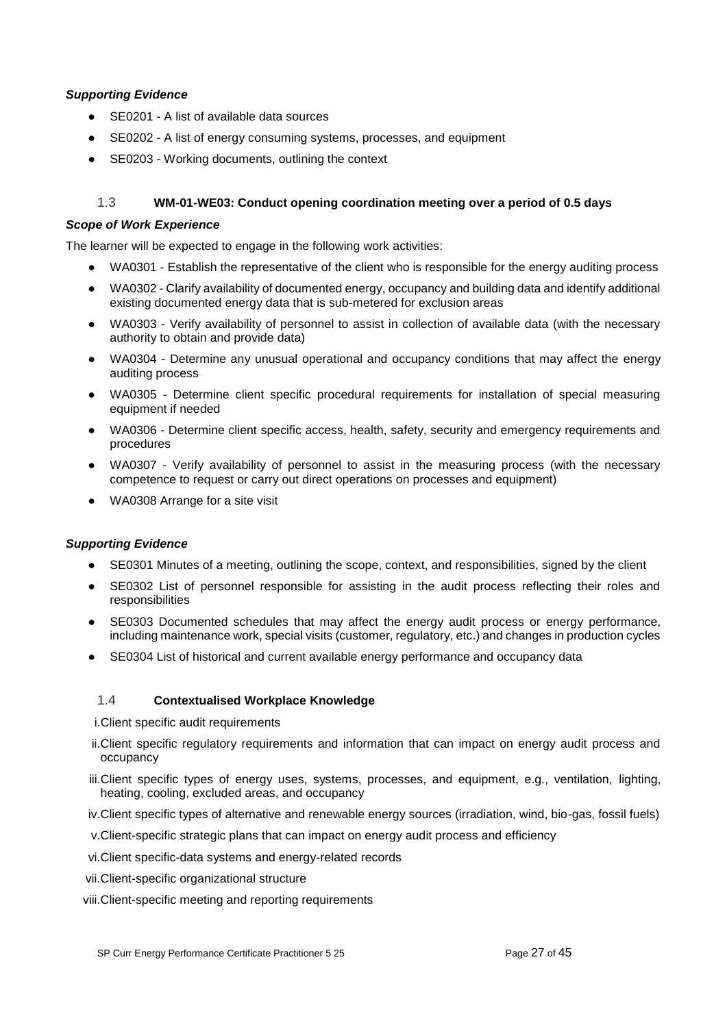#### *Supporting Evidence*

- SE0201 A list of available data sources
- SE0202 A list of energy consuming systems, processes, and equipment
- SE0203 Working documents, outlining the context

### 1.3 **WM-01-WE03: Conduct opening coordination meeting over a period of 0.5 days**

#### <span id="page-26-0"></span>*Scope of Work Experience*

The learner will be expected to engage in the following work activities:

- WA0301 Establish the representative of the client who is responsible for the energy auditing process
- WA0302 Clarify availability of documented energy, occupancy and building data and identify additional existing documented energy data that is sub-metered for exclusion areas
- WA0303 Verify availability of personnel to assist in collection of available data (with the necessary authority to obtain and provide data)
- WA0304 Determine any unusual operational and occupancy conditions that may affect the energy auditing process
- WA0305 Determine client specific procedural requirements for installation of special measuring equipment if needed
- WA0306 Determine client specific access, health, safety, security and emergency requirements and procedures
- WA0307 Verify availability of personnel to assist in the measuring process (with the necessary competence to request or carry out direct operations on processes and equipment)
- WA0308 Arrange for a site visit

#### *Supporting Evidence*

- SE0301 Minutes of a meeting, outlining the scope, context, and responsibilities, signed by the client
- SE0302 List of personnel responsible for assisting in the audit process reflecting their roles and responsibilities
- SE0303 Documented schedules that may affect the energy audit process or energy performance, including maintenance work, special visits (customer, regulatory, etc.) and changes in production cycles
- SE0304 List of historical and current available energy performance and occupancy data

#### <span id="page-26-1"></span>1.4 **Contextualised Workplace Knowledge**

i.Client specific audit requirements

- ii.Client specific regulatory requirements and information that can impact on energy audit process and occupancy
- iii.Client specific types of energy uses, systems, processes, and equipment, e.g., ventilation, lighting, heating, cooling, excluded areas, and occupancy
- iv.Client specific types of alternative and renewable energy sources (irradiation, wind, bio-gas, fossil fuels)
- v.Client-specific strategic plans that can impact on energy audit process and efficiency
- vi.Client specific-data systems and energy-related records
- vii.Client-specific organizational structure
- viii.Client-specific meeting and reporting requirements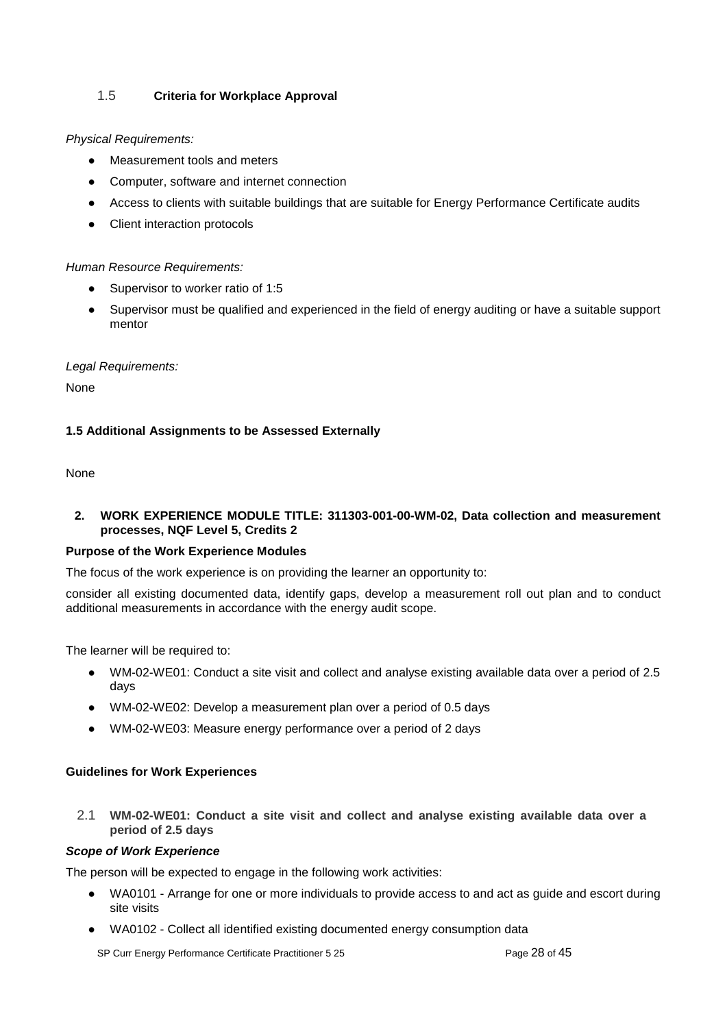### <span id="page-27-0"></span>1.5 **Criteria for Workplace Approval**

#### *Physical Requirements:*

- Measurement tools and meters
- Computer, software and internet connection
- Access to clients with suitable buildings that are suitable for Energy Performance Certificate audits
- Client interaction protocols

#### *Human Resource Requirements:*

- Supervisor to worker ratio of 1:5
- Supervisor must be qualified and experienced in the field of energy auditing or have a suitable support mentor

#### *Legal Requirements:*

None

#### **1.5 Additional Assignments to be Assessed Externally**

None

#### <span id="page-27-1"></span>**2. WORK EXPERIENCE MODULE TITLE: 311303-001-00-WM-02, Data collection and measurement processes, NQF Level 5, Credits 2**

#### **Purpose of the Work Experience Modules**

The focus of the work experience is on providing the learner an opportunity to:

consider all existing documented data, identify gaps, develop a measurement roll out plan and to conduct additional measurements in accordance with the energy audit scope.

The learner will be required to:

- WM-02-WE01: Conduct a site visit and collect and analyse existing available data over a period of 2.5 days
- WM-02-WE02: Develop a measurement plan over a period of 0.5 days
- WM-02-WE03: Measure energy performance over a period of 2 days

#### **Guidelines for Work Experiences**

<span id="page-27-2"></span>2.1 **WM-02-WE01: Conduct a site visit and collect and analyse existing available data over a period of 2.5 days**

#### *Scope of Work Experience*

The person will be expected to engage in the following work activities:

- WA0101 Arrange for one or more individuals to provide access to and act as guide and escort during site visits
- WA0102 Collect all identified existing documented energy consumption data

SP Curr Energy Performance Certificate Practitioner 5 25 Page 28 of 45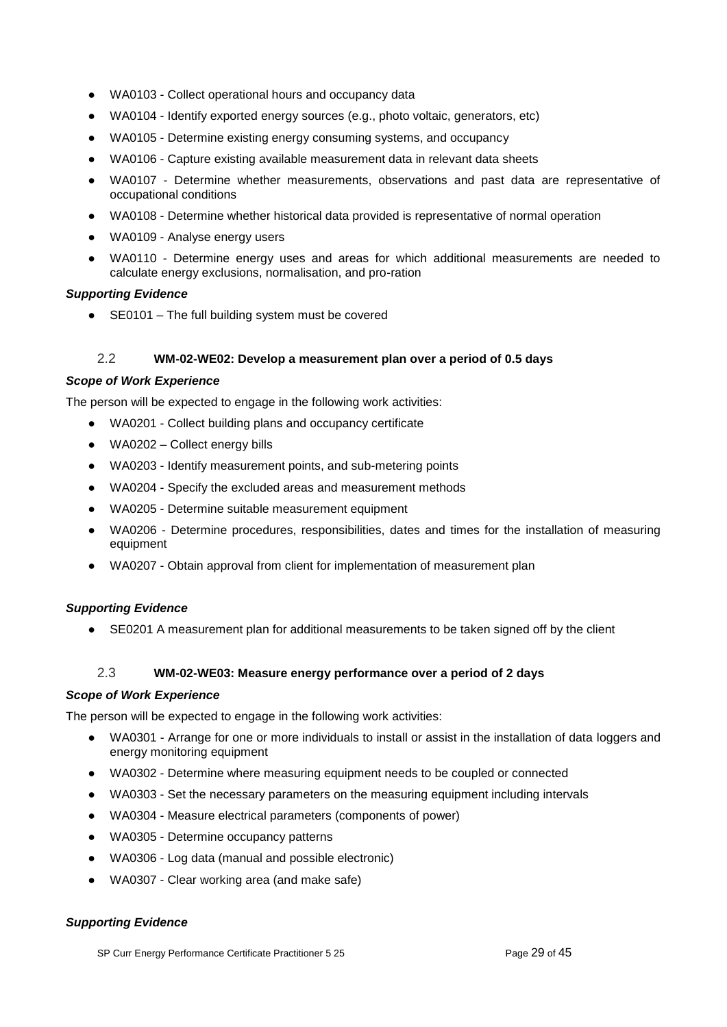- WA0103 Collect operational hours and occupancy data
- WA0104 Identify exported energy sources (e.g., photo voltaic, generators, etc)
- WA0105 Determine existing energy consuming systems, and occupancy
- WA0106 Capture existing available measurement data in relevant data sheets
- WA0107 Determine whether measurements, observations and past data are representative of occupational conditions
- WA0108 Determine whether historical data provided is representative of normal operation
- WA0109 Analyse energy users
- WA0110 Determine energy uses and areas for which additional measurements are needed to calculate energy exclusions, normalisation, and pro-ration

#### *Supporting Evidence*

● SE0101 – The full building system must be covered

### 2.2 **WM-02-WE02: Develop a measurement plan over a period of 0.5 days**

#### <span id="page-28-0"></span>*Scope of Work Experience*

The person will be expected to engage in the following work activities:

- WA0201 Collect building plans and occupancy certificate
- $\bullet$  WA0202 Collect energy bills
- WA0203 Identify measurement points, and sub-metering points
- WA0204 Specify the excluded areas and measurement methods
- WA0205 Determine suitable measurement equipment
- WA0206 Determine procedures, responsibilities, dates and times for the installation of measuring equipment
- WA0207 Obtain approval from client for implementation of measurement plan

#### *Supporting Evidence*

• SE0201 A measurement plan for additional measurements to be taken signed off by the client

#### 2.3 **WM-02-WE03: Measure energy performance over a period of 2 days**

#### <span id="page-28-1"></span>*Scope of Work Experience*

The person will be expected to engage in the following work activities:

- WA0301 Arrange for one or more individuals to install or assist in the installation of data loggers and energy monitoring equipment
- WA0302 Determine where measuring equipment needs to be coupled or connected
- WA0303 Set the necessary parameters on the measuring equipment including intervals
- WA0304 Measure electrical parameters (components of power)
- WA0305 Determine occupancy patterns
- WA0306 Log data (manual and possible electronic)
- WA0307 Clear working area (and make safe)

#### *Supporting Evidence*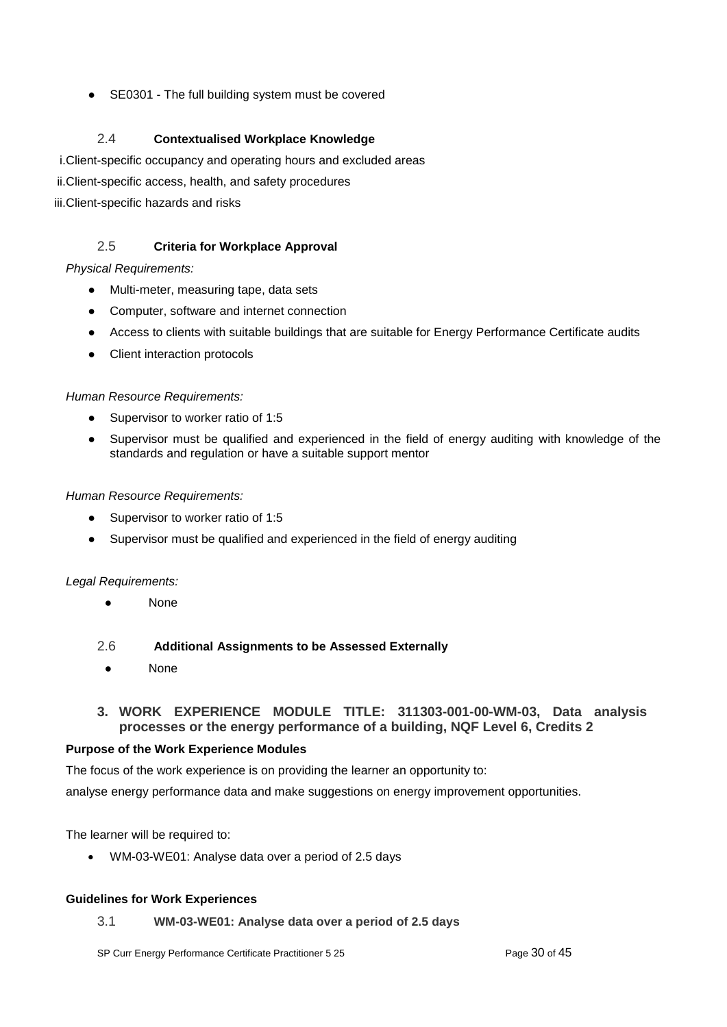● SE0301 - The full building system must be covered

### 2.4 **Contextualised Workplace Knowledge**

<span id="page-29-0"></span>i.Client-specific occupancy and operating hours and excluded areas

- ii.Client-specific access, health, and safety procedures
- iii.Client-specific hazards and risks

### 2.5 **Criteria for Workplace Approval**

### <span id="page-29-1"></span>*Physical Requirements:*

- Multi-meter, measuring tape, data sets
- Computer, software and internet connection
- Access to clients with suitable buildings that are suitable for Energy Performance Certificate audits
- Client interaction protocols

### *Human Resource Requirements:*

- Supervisor to worker ratio of 1:5
- Supervisor must be qualified and experienced in the field of energy auditing with knowledge of the standards and regulation or have a suitable support mentor

### *Human Resource Requirements:*

- Supervisor to worker ratio of 1:5
- Supervisor must be qualified and experienced in the field of energy auditing

#### *Legal Requirements:*

● None

### <span id="page-29-2"></span>2.6 **Additional Assignments to be Assessed Externally**

**None** 

### <span id="page-29-3"></span>**3. WORK EXPERIENCE MODULE TITLE: 311303-001-00-WM-03, Data analysis processes or the energy performance of a building, NQF Level 6, Credits 2**

#### **Purpose of the Work Experience Modules**

The focus of the work experience is on providing the learner an opportunity to:

analyse energy performance data and make suggestions on energy improvement opportunities.

The learner will be required to:

• WM-03-WE01: Analyse data over a period of 2.5 days

#### <span id="page-29-4"></span>**Guidelines for Work Experiences**

3.1 **WM-03-WE01: Analyse data over a period of 2.5 days**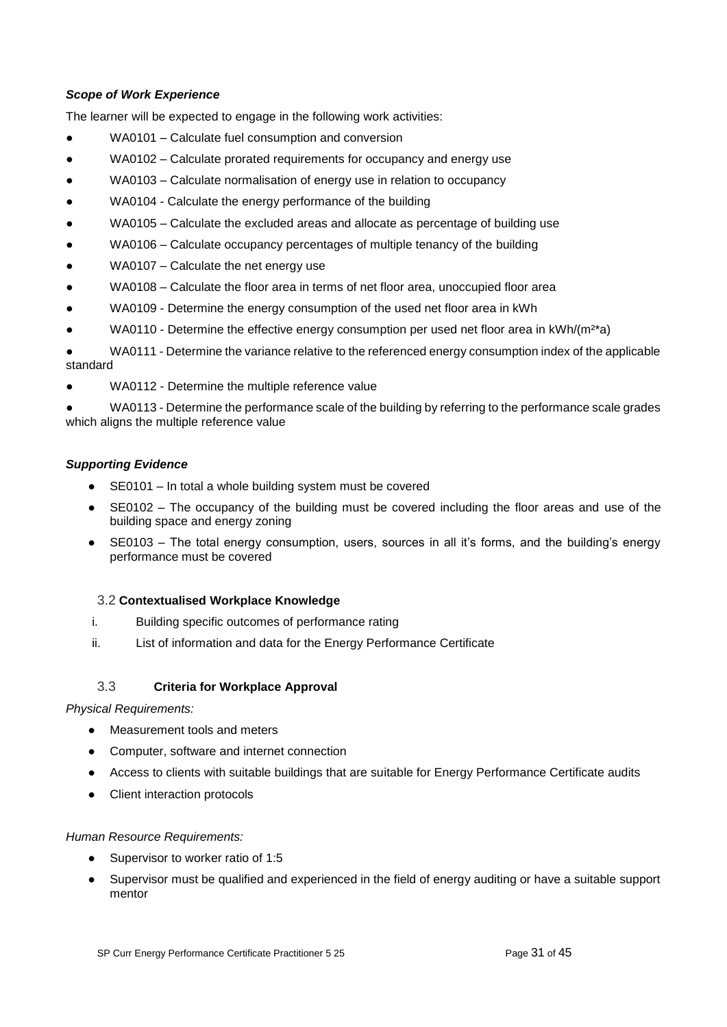### *Scope of Work Experience*

The learner will be expected to engage in the following work activities:

- WA0101 Calculate fuel consumption and conversion
- WA0102 Calculate prorated requirements for occupancy and energy use
- WA0103 Calculate normalisation of energy use in relation to occupancy
- WA0104 Calculate the energy performance of the building
- $WA0105 Calculate the excluded areas and allocate as percentage of building use$
- WA0106 Calculate occupancy percentages of multiple tenancy of the building
- WA0107 Calculate the net energy use
- WA0108 Calculate the floor area in terms of net floor area, unoccupied floor area
- WA0109 Determine the energy consumption of the used net floor area in kWh
- WA0110 Determine the effective energy consumption per used net floor area in  $kWh/(m^2*)$

WA0111 - Determine the variance relative to the referenced energy consumption index of the applicable standard

- WA0112 Determine the multiple reference value
- WA0113 Determine the performance scale of the building by referring to the performance scale grades which aligns the multiple reference value

#### *Supporting Evidence*

- SE0101 In total a whole building system must be covered
- SE0102 The occupancy of the building must be covered including the floor areas and use of the building space and energy zoning
- SE0103 The total energy consumption, users, sources in all it's forms, and the building's energy performance must be covered

#### <span id="page-30-0"></span>3.2 **Contextualised Workplace Knowledge**

- i. Building specific outcomes of performance rating
- ii. List of information and data for the Energy Performance Certificate

#### 3.3 **Criteria for Workplace Approval**

#### <span id="page-30-1"></span>*Physical Requirements:*

- Measurement tools and meters
- Computer, software and internet connection
- Access to clients with suitable buildings that are suitable for Energy Performance Certificate audits
- Client interaction protocols

#### *Human Resource Requirements:*

- Supervisor to worker ratio of 1:5
- Supervisor must be qualified and experienced in the field of energy auditing or have a suitable support mentor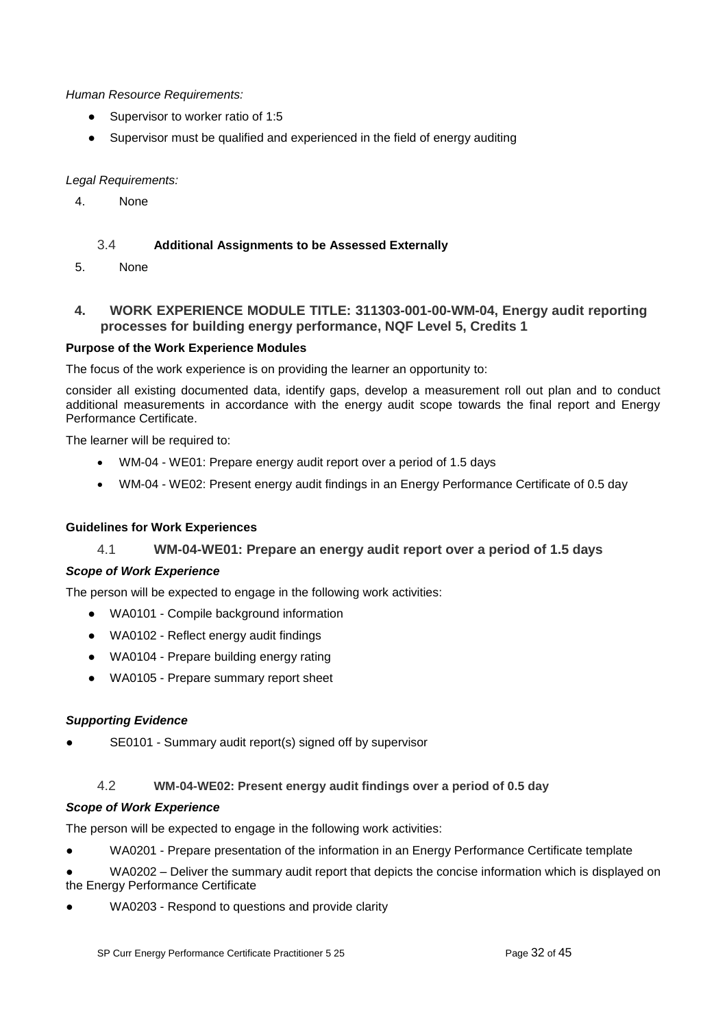*Human Resource Requirements:* 

- Supervisor to worker ratio of 1:5
- Supervisor must be qualified and experienced in the field of energy auditing

### *Legal Requirements:*

4. None

### 3.4 **Additional Assignments to be Assessed Externally**

<span id="page-31-0"></span>5. None

### <span id="page-31-1"></span>**4. WORK EXPERIENCE MODULE TITLE: 311303-001-00-WM-04, Energy audit reporting processes for building energy performance, NQF Level 5, Credits 1**

### **Purpose of the Work Experience Modules**

The focus of the work experience is on providing the learner an opportunity to:

consider all existing documented data, identify gaps, develop a measurement roll out plan and to conduct additional measurements in accordance with the energy audit scope towards the final report and Energy Performance Certificate.

The learner will be required to:

- WM-04 WE01: Prepare energy audit report over a period of 1.5 days
- WM-04 WE02: Present energy audit findings in an Energy Performance Certificate of 0.5 day

### <span id="page-31-2"></span>**Guidelines for Work Experiences**

### 4.1 **WM-04-WE01: Prepare an energy audit report over a period of 1.5 days**

#### *Scope of Work Experience*

The person will be expected to engage in the following work activities:

- WA0101 Compile background information
- WA0102 Reflect energy audit findings
- WA0104 Prepare building energy rating
- WA0105 Prepare summary report sheet

#### *Supporting Evidence*

SE0101 - Summary audit report(s) signed off by supervisor

### 4.2 **WM-04-WE02: Present energy audit findings over a period of 0.5 day**

#### <span id="page-31-3"></span>*Scope of Work Experience*

The person will be expected to engage in the following work activities:

- WA0201 Prepare presentation of the information in an Energy Performance Certificate template
- WA0202 Deliver the summary audit report that depicts the concise information which is displayed on the Energy Performance Certificate
- WA0203 Respond to questions and provide clarity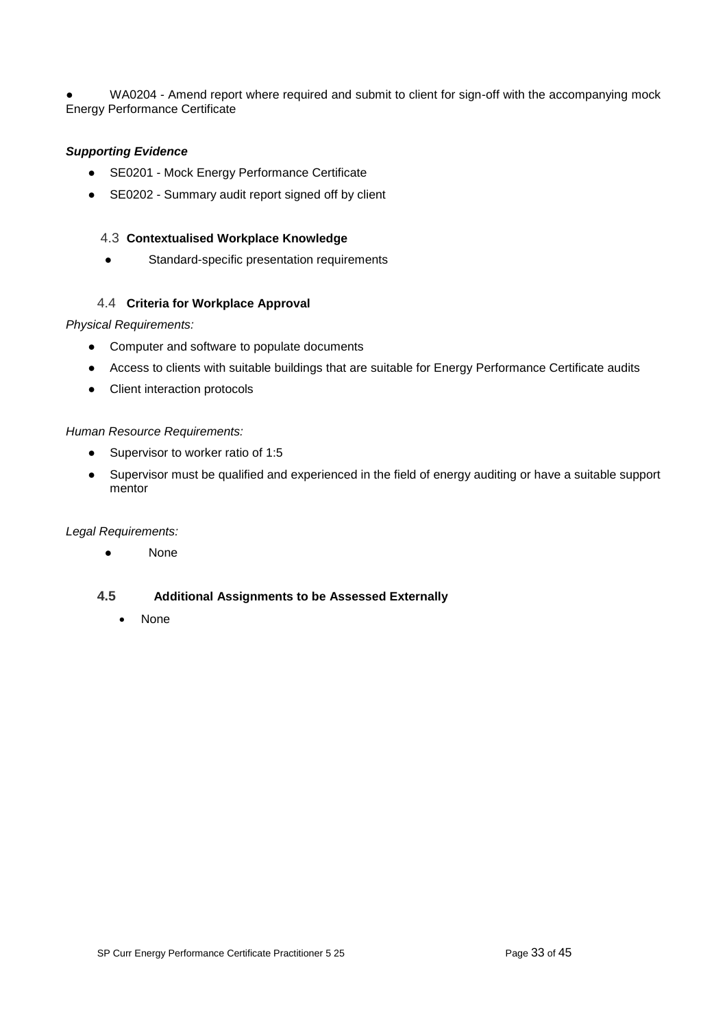WA0204 - Amend report where required and submit to client for sign-off with the accompanying mock Energy Performance Certificate

#### *Supporting Evidence*

- SE0201 Mock Energy Performance Certificate
- SE0202 Summary audit report signed off by client

#### <span id="page-32-0"></span>4.3 **Contextualised Workplace Knowledge**

● Standard-specific presentation requirements

### 4.4 **Criteria for Workplace Approval**

#### <span id="page-32-1"></span>*Physical Requirements:*

- Computer and software to populate documents
- Access to clients with suitable buildings that are suitable for Energy Performance Certificate audits
- Client interaction protocols

#### *Human Resource Requirements:*

- Supervisor to worker ratio of 1:5
- Supervisor must be qualified and experienced in the field of energy auditing or have a suitable support mentor

#### *Legal Requirements:*

● None

#### <span id="page-32-2"></span>**4.5 Additional Assignments to be Assessed Externally**

• None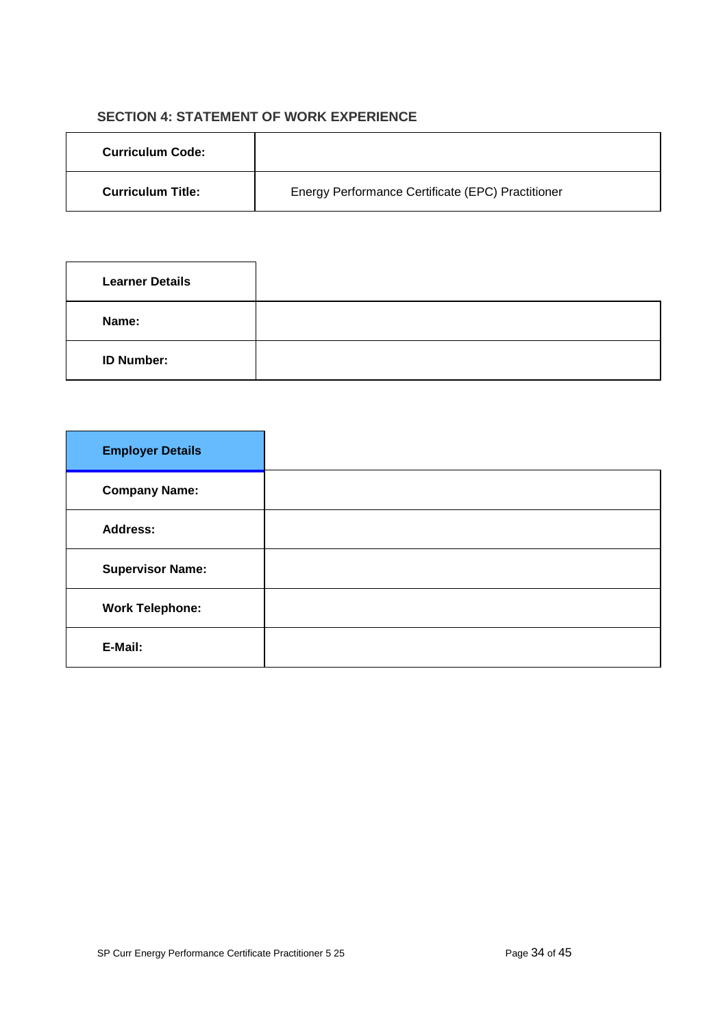# **SECTION 4: STATEMENT OF WORK EXPERIENCE**

<span id="page-33-0"></span>

| <b>Curriculum Code:</b>  |                                                   |
|--------------------------|---------------------------------------------------|
| <b>Curriculum Title:</b> | Energy Performance Certificate (EPC) Practitioner |

| <b>Learner Details</b> |  |
|------------------------|--|
| Name:                  |  |
| <b>ID Number:</b>      |  |

| <b>Employer Details</b> |  |
|-------------------------|--|
| <b>Company Name:</b>    |  |
| <b>Address:</b>         |  |
| <b>Supervisor Name:</b> |  |
| <b>Work Telephone:</b>  |  |
| E-Mail:                 |  |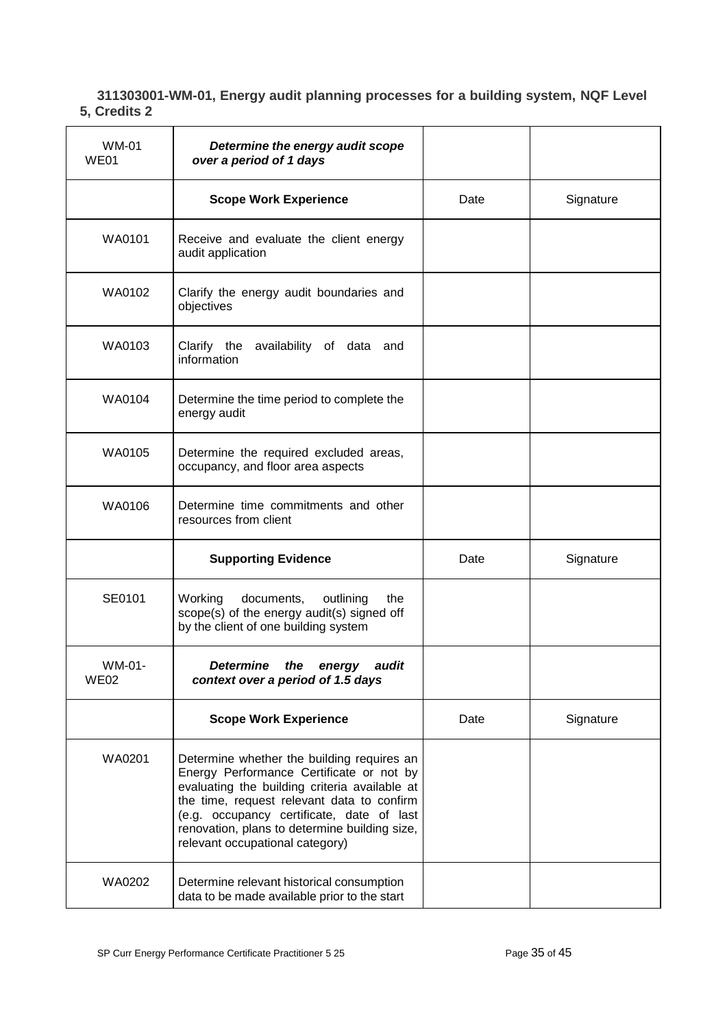### <span id="page-34-0"></span>**311303001-WM-01, Energy audit planning processes for a building system, NQF Level 5, Credits 2**

| WM-01<br>WE01         | Determine the energy audit scope<br>over a period of 1 days                                                                                                                                                                                                                                                            |      |           |
|-----------------------|------------------------------------------------------------------------------------------------------------------------------------------------------------------------------------------------------------------------------------------------------------------------------------------------------------------------|------|-----------|
|                       | <b>Scope Work Experience</b>                                                                                                                                                                                                                                                                                           | Date | Signature |
| WA0101                | Receive and evaluate the client energy<br>audit application                                                                                                                                                                                                                                                            |      |           |
| WA0102                | Clarify the energy audit boundaries and<br>objectives                                                                                                                                                                                                                                                                  |      |           |
| WA0103                | Clarify the availability of data and<br>information                                                                                                                                                                                                                                                                    |      |           |
| WA0104                | Determine the time period to complete the<br>energy audit                                                                                                                                                                                                                                                              |      |           |
| WA0105                | Determine the required excluded areas,<br>occupancy, and floor area aspects                                                                                                                                                                                                                                            |      |           |
| WA0106                | Determine time commitments and other<br>resources from client                                                                                                                                                                                                                                                          |      |           |
|                       | <b>Supporting Evidence</b>                                                                                                                                                                                                                                                                                             | Date | Signature |
| SE0101                | Working<br>documents,<br>outlining<br>the<br>scope(s) of the energy audit(s) signed off<br>by the client of one building system                                                                                                                                                                                        |      |           |
| WM-01-<br><b>WE02</b> | <b>Determine</b><br>audit<br>the<br>energy<br>context over a period of 1.5 days                                                                                                                                                                                                                                        |      |           |
|                       | <b>Scope Work Experience</b>                                                                                                                                                                                                                                                                                           | Date | Signature |
| WA0201                | Determine whether the building requires an<br>Energy Performance Certificate or not by<br>evaluating the building criteria available at<br>the time, request relevant data to confirm<br>(e.g. occupancy certificate, date of last<br>renovation, plans to determine building size,<br>relevant occupational category) |      |           |
| WA0202                | Determine relevant historical consumption<br>data to be made available prior to the start                                                                                                                                                                                                                              |      |           |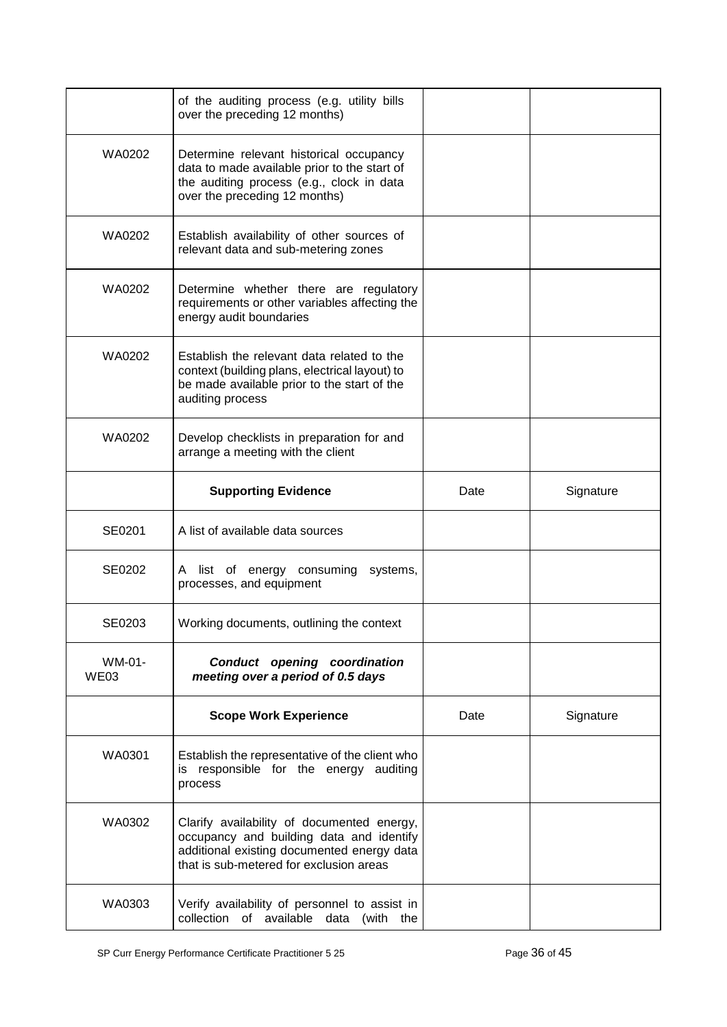|                | of the auditing process (e.g. utility bills<br>over the preceding 12 months)                                                                                                    |      |           |
|----------------|---------------------------------------------------------------------------------------------------------------------------------------------------------------------------------|------|-----------|
| WA0202         | Determine relevant historical occupancy<br>data to made available prior to the start of<br>the auditing process (e.g., clock in data<br>over the preceding 12 months)           |      |           |
| WA0202         | Establish availability of other sources of<br>relevant data and sub-metering zones                                                                                              |      |           |
| WA0202         | Determine whether there are regulatory<br>requirements or other variables affecting the<br>energy audit boundaries                                                              |      |           |
| WA0202         | Establish the relevant data related to the<br>context (building plans, electrical layout) to<br>be made available prior to the start of the<br>auditing process                 |      |           |
| WA0202         | Develop checklists in preparation for and<br>arrange a meeting with the client                                                                                                  |      |           |
|                | <b>Supporting Evidence</b>                                                                                                                                                      | Date | Signature |
| SE0201         | A list of available data sources                                                                                                                                                |      |           |
| SE0202         | list of energy consuming<br>systems,<br>A<br>processes, and equipment                                                                                                           |      |           |
| SE0203         | Working documents, outlining the context                                                                                                                                        |      |           |
| WM-01-<br>WE03 | Conduct opening coordination<br>meeting over a period of 0.5 days                                                                                                               |      |           |
|                | <b>Scope Work Experience</b>                                                                                                                                                    | Date | Signature |
| WA0301         | Establish the representative of the client who<br>is responsible for the energy auditing<br>process                                                                             |      |           |
| WA0302         | Clarify availability of documented energy,<br>occupancy and building data and identify<br>additional existing documented energy data<br>that is sub-metered for exclusion areas |      |           |
| WA0303         | Verify availability of personnel to assist in<br>collection of available data (with the                                                                                         |      |           |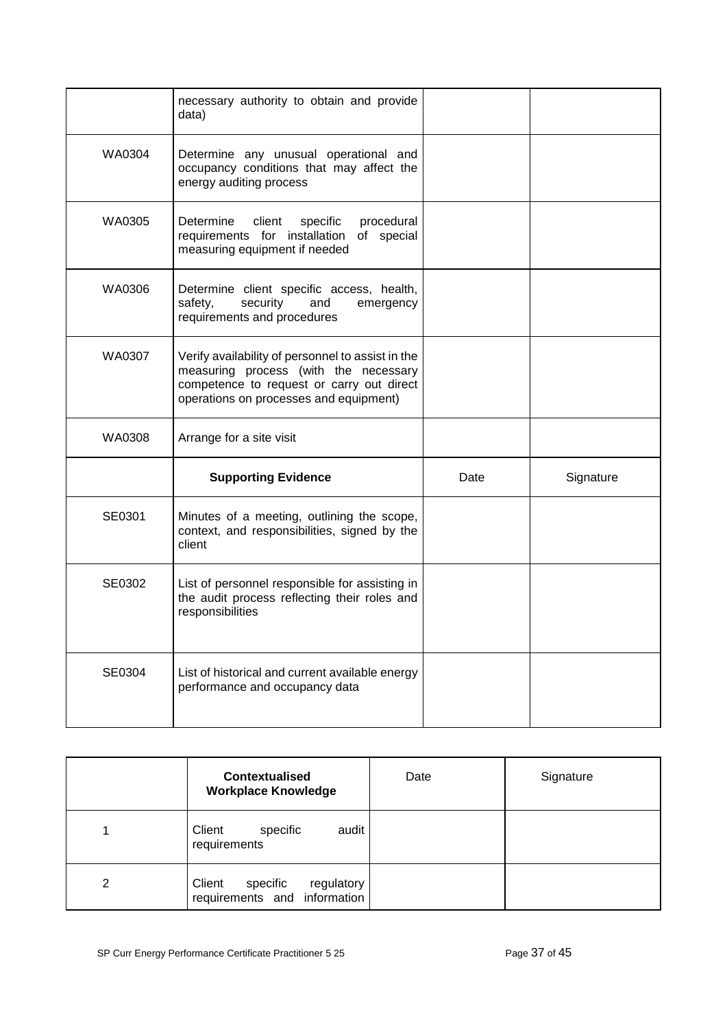|        | necessary authority to obtain and provide<br>data)                                                                                                                                |      |           |
|--------|-----------------------------------------------------------------------------------------------------------------------------------------------------------------------------------|------|-----------|
| WA0304 | Determine any unusual operational and<br>occupancy conditions that may affect the<br>energy auditing process                                                                      |      |           |
| WA0305 | procedural<br>Determine<br>client<br>specific<br>requirements for installation<br>of special<br>measuring equipment if needed                                                     |      |           |
| WA0306 | Determine client specific access, health,<br>security<br>and<br>safety,<br>emergency<br>requirements and procedures                                                               |      |           |
| WA0307 | Verify availability of personnel to assist in the<br>measuring process (with the necessary<br>competence to request or carry out direct<br>operations on processes and equipment) |      |           |
| WA0308 | Arrange for a site visit                                                                                                                                                          |      |           |
|        | <b>Supporting Evidence</b>                                                                                                                                                        | Date | Signature |
| SE0301 | Minutes of a meeting, outlining the scope,<br>context, and responsibilities, signed by the<br>client                                                                              |      |           |
| SE0302 | List of personnel responsible for assisting in<br>the audit process reflecting their roles and<br>responsibilities                                                                |      |           |
| SE0304 | List of historical and current available energy<br>performance and occupancy data                                                                                                 |      |           |

|   | <b>Contextualised</b><br><b>Workplace Knowledge</b>              | Date | Signature |
|---|------------------------------------------------------------------|------|-----------|
|   | audit<br>Client<br>specific<br>requirements                      |      |           |
| 2 | Client<br>specific<br>regulatory<br>requirements and information |      |           |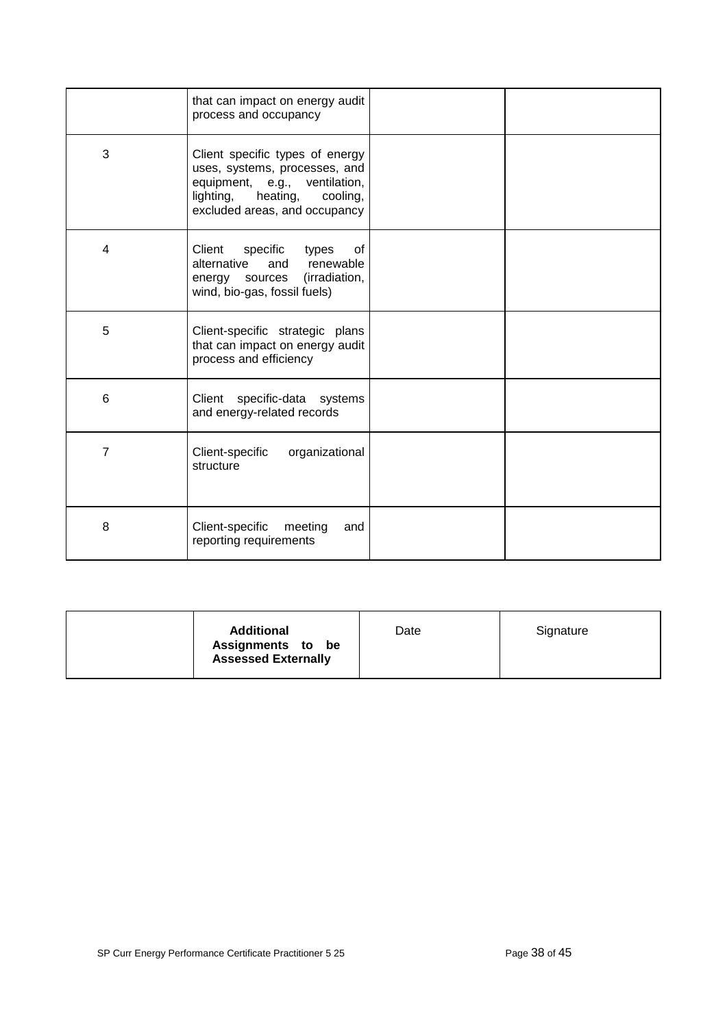|   | that can impact on energy audit<br>process and occupancy                                                                                                                |  |
|---|-------------------------------------------------------------------------------------------------------------------------------------------------------------------------|--|
| 3 | Client specific types of energy<br>uses, systems, processes, and<br>equipment, e.g., ventilation,<br>heating,<br>lighting,<br>cooling,<br>excluded areas, and occupancy |  |
| 4 | Client<br>specific<br>of<br>types<br>alternative<br>renewable<br>and<br>(irradiation,<br>energy sources<br>wind, bio-gas, fossil fuels)                                 |  |
| 5 | Client-specific strategic plans<br>that can impact on energy audit<br>process and efficiency                                                                            |  |
| 6 | Client specific-data systems<br>and energy-related records                                                                                                              |  |
| 7 | Client-specific<br>organizational<br>structure                                                                                                                          |  |
| 8 | Client-specific<br>meeting<br>and<br>reporting requirements                                                                                                             |  |

| <b>Additional</b><br>Assignments to be<br><b>Assessed Externally</b> | Date | Signature |
|----------------------------------------------------------------------|------|-----------|
|                                                                      |      |           |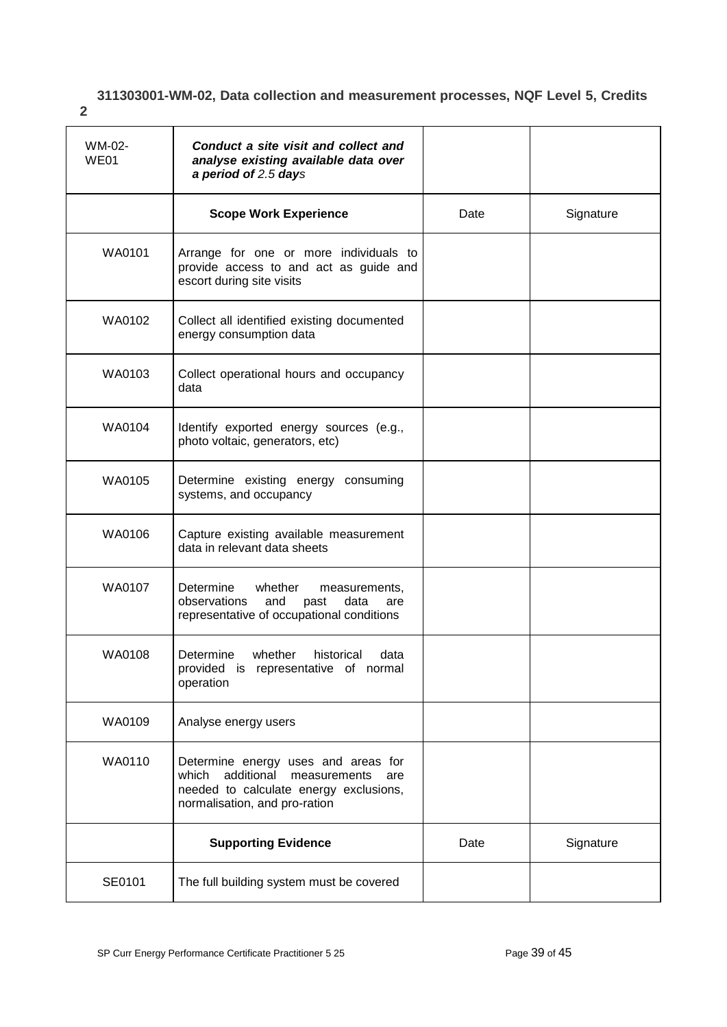# **311303001-WM-02, Data collection and measurement processes, NQF Level 5, Credits**

<span id="page-38-0"></span>**2**

| WM-02-<br>WE01 | Conduct a site visit and collect and<br>analyse existing available data over<br>a period of 2.5 days                                                         |      |           |
|----------------|--------------------------------------------------------------------------------------------------------------------------------------------------------------|------|-----------|
|                | <b>Scope Work Experience</b>                                                                                                                                 | Date | Signature |
| WA0101         | Arrange for one or more individuals to<br>provide access to and act as guide and<br>escort during site visits                                                |      |           |
| WA0102         | Collect all identified existing documented<br>energy consumption data                                                                                        |      |           |
| WA0103         | Collect operational hours and occupancy<br>data                                                                                                              |      |           |
| WA0104         | Identify exported energy sources (e.g.,<br>photo voltaic, generators, etc)                                                                                   |      |           |
| WA0105         | Determine existing energy consuming<br>systems, and occupancy                                                                                                |      |           |
| WA0106         | Capture existing available measurement<br>data in relevant data sheets                                                                                       |      |           |
| WA0107         | Determine<br>whether<br>measurements,<br>data<br>observations<br>and<br>past<br>are<br>representative of occupational conditions                             |      |           |
| WA0108         | Determine whether<br>historical<br>data<br>provided is representative of normal<br>operation                                                                 |      |           |
| WA0109         | Analyse energy users                                                                                                                                         |      |           |
| WA0110         | Determine energy uses and areas for<br>additional<br>measurements<br>which<br>are<br>needed to calculate energy exclusions,<br>normalisation, and pro-ration |      |           |
|                | <b>Supporting Evidence</b>                                                                                                                                   | Date | Signature |
| SE0101         | The full building system must be covered                                                                                                                     |      |           |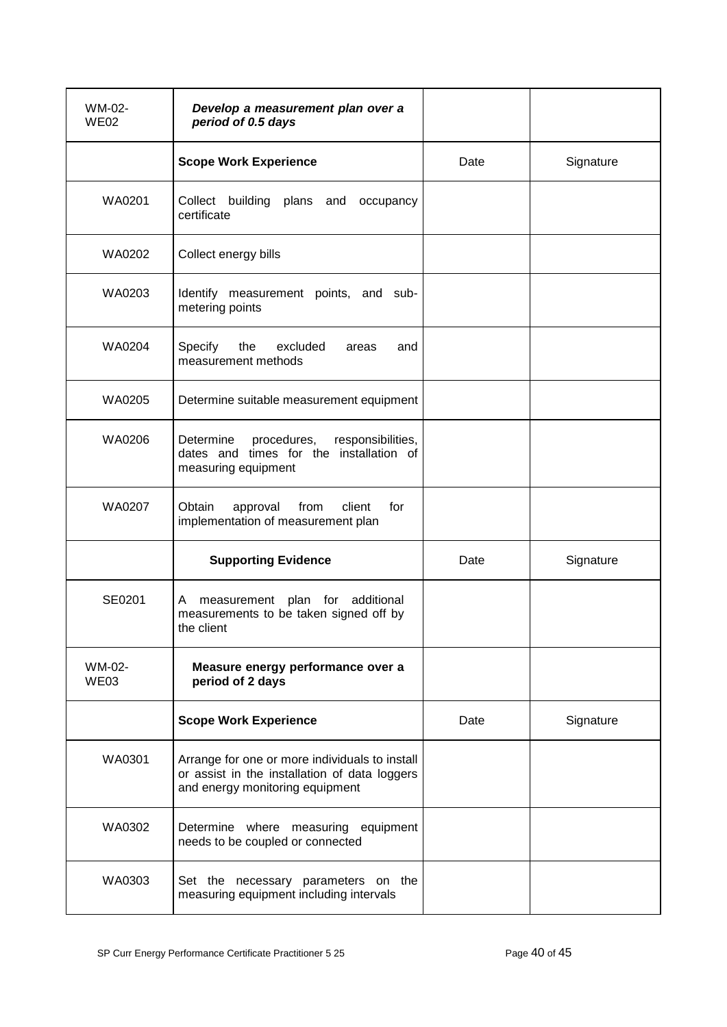| WM-02-<br><b>WE02</b> | Develop a measurement plan over a<br>period of 0.5 days                                                                            |      |           |
|-----------------------|------------------------------------------------------------------------------------------------------------------------------------|------|-----------|
|                       | <b>Scope Work Experience</b>                                                                                                       | Date | Signature |
| WA0201                | Collect building plans and<br>occupancy<br>certificate                                                                             |      |           |
| WA0202                | Collect energy bills                                                                                                               |      |           |
| WA0203                | Identify measurement points, and sub-<br>metering points                                                                           |      |           |
| WA0204                | Specify<br>the<br>excluded<br>areas<br>and<br>measurement methods                                                                  |      |           |
| WA0205                | Determine suitable measurement equipment                                                                                           |      |           |
| WA0206                | Determine<br>procedures,<br>responsibilities,<br>dates and times for the installation of<br>measuring equipment                    |      |           |
| WA0207                | from<br>Obtain<br>approval<br>client<br>for<br>implementation of measurement plan                                                  |      |           |
|                       | <b>Supporting Evidence</b>                                                                                                         | Date | Signature |
| SE0201                | measurement plan for additional<br>A<br>measurements to be taken signed off by<br>the client                                       |      |           |
| WM-02-<br>WE03        | Measure energy performance over a<br>period of 2 days                                                                              |      |           |
|                       | <b>Scope Work Experience</b>                                                                                                       | Date | Signature |
| WA0301                | Arrange for one or more individuals to install<br>or assist in the installation of data loggers<br>and energy monitoring equipment |      |           |
| WA0302                | Determine where measuring equipment<br>needs to be coupled or connected                                                            |      |           |
| WA0303                | Set the necessary parameters on the<br>measuring equipment including intervals                                                     |      |           |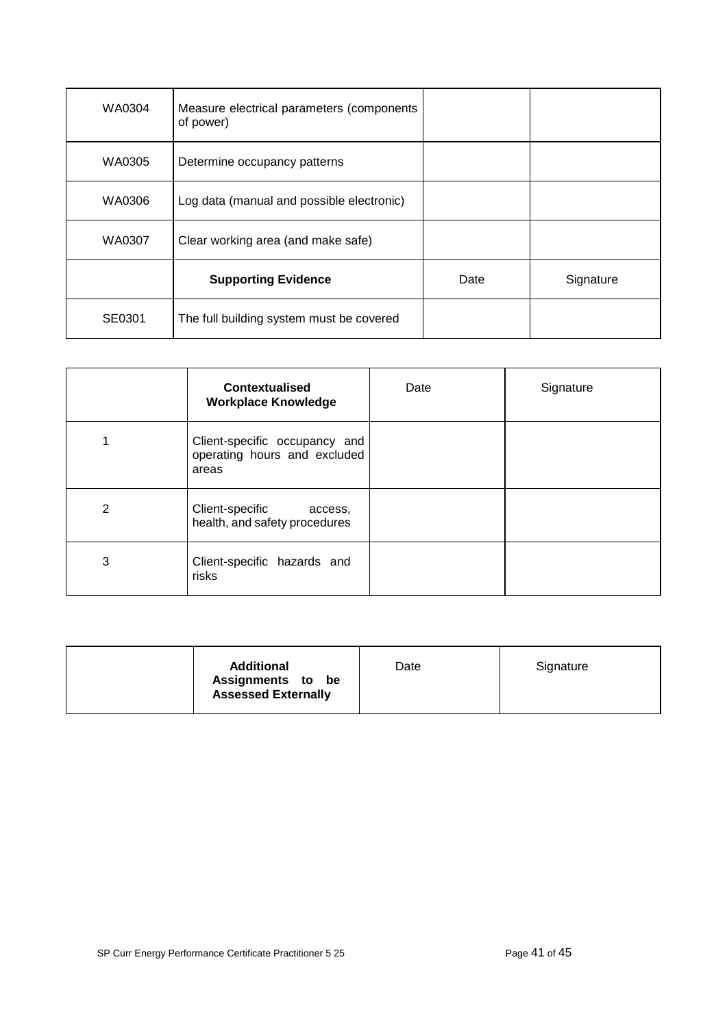| WA0304 | Measure electrical parameters (components<br>of power) |      |           |
|--------|--------------------------------------------------------|------|-----------|
| WA0305 | Determine occupancy patterns                           |      |           |
| WA0306 | Log data (manual and possible electronic)              |      |           |
| WA0307 | Clear working area (and make safe)                     |      |           |
|        | <b>Supporting Evidence</b>                             | Date | Signature |
| SE0301 | The full building system must be covered               |      |           |

|   | <b>Contextualised</b><br><b>Workplace Knowledge</b>                    | Date | Signature |
|---|------------------------------------------------------------------------|------|-----------|
|   | Client-specific occupancy and<br>operating hours and excluded<br>areas |      |           |
| 2 | Client-specific<br>access,<br>health, and safety procedures            |      |           |
| 3 | Client-specific hazards and<br>risks                                   |      |           |

| <b>Additional</b><br>Assignments to be<br><b>Assessed Externally</b> | Date | Signature |
|----------------------------------------------------------------------|------|-----------|
|----------------------------------------------------------------------|------|-----------|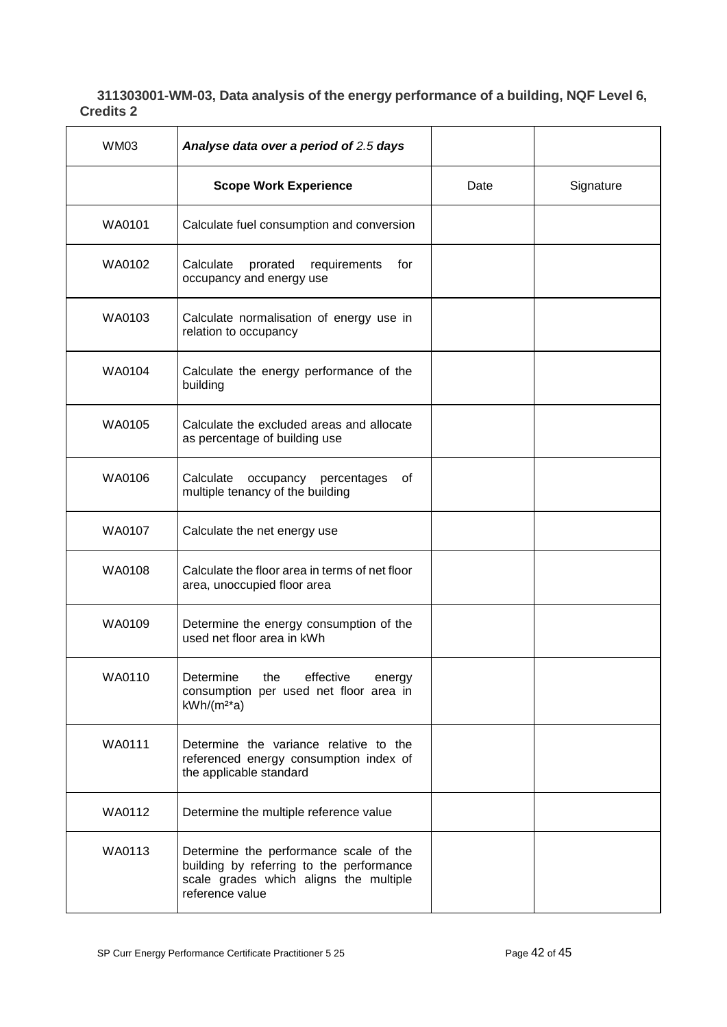### <span id="page-41-0"></span>**311303001-WM-03, Data analysis of the energy performance of a building, NQF Level 6, Credits 2**

| <b>WM03</b> | Analyse data over a period of 2.5 days                                                                                                          |      |           |
|-------------|-------------------------------------------------------------------------------------------------------------------------------------------------|------|-----------|
|             | <b>Scope Work Experience</b>                                                                                                                    | Date | Signature |
| WA0101      | Calculate fuel consumption and conversion                                                                                                       |      |           |
| WA0102      | Calculate<br>prorated<br>requirements<br>for<br>occupancy and energy use                                                                        |      |           |
| WA0103      | Calculate normalisation of energy use in<br>relation to occupancy                                                                               |      |           |
| WA0104      | Calculate the energy performance of the<br>building                                                                                             |      |           |
| WA0105      | Calculate the excluded areas and allocate<br>as percentage of building use                                                                      |      |           |
| WA0106      | Calculate<br>occupancy percentages<br>οf<br>multiple tenancy of the building                                                                    |      |           |
| WA0107      | Calculate the net energy use                                                                                                                    |      |           |
| WA0108      | Calculate the floor area in terms of net floor<br>area, unoccupied floor area                                                                   |      |           |
| WA0109      | Determine the energy consumption of the<br>used net floor area in kWh                                                                           |      |           |
| WA0110      | the<br>effective<br>Determine<br>energy<br>consumption per used net floor area in<br>$kWh/(m2*a)$                                               |      |           |
| WA0111      | Determine the variance relative to the<br>referenced energy consumption index of<br>the applicable standard                                     |      |           |
| WA0112      | Determine the multiple reference value                                                                                                          |      |           |
| WA0113      | Determine the performance scale of the<br>building by referring to the performance<br>scale grades which aligns the multiple<br>reference value |      |           |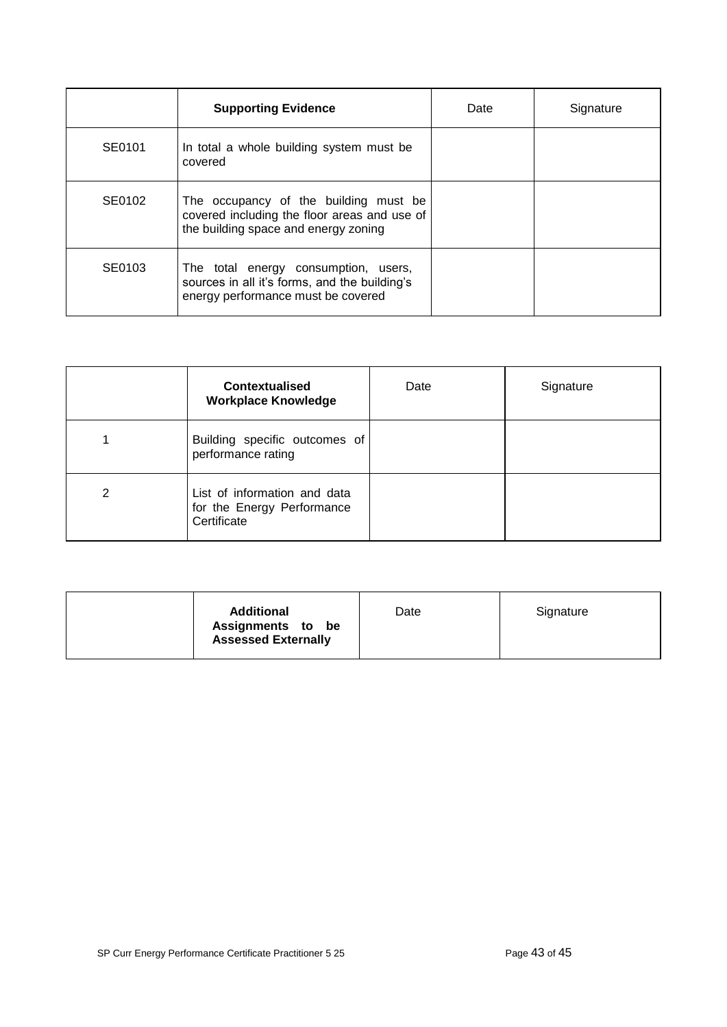|        | <b>Supporting Evidence</b>                                                                                                    | Date | Signature |
|--------|-------------------------------------------------------------------------------------------------------------------------------|------|-----------|
| SE0101 | In total a whole building system must be<br>covered                                                                           |      |           |
| SE0102 | The occupancy of the building must be<br>covered including the floor areas and use of<br>the building space and energy zoning |      |           |
| SE0103 | The total energy consumption, users,<br>sources in all it's forms, and the building's<br>energy performance must be covered   |      |           |

|   | <b>Contextualised</b><br><b>Workplace Knowledge</b>                       | Date | Signature |
|---|---------------------------------------------------------------------------|------|-----------|
|   | Building specific outcomes of<br>performance rating                       |      |           |
| 2 | List of information and data<br>for the Energy Performance<br>Certificate |      |           |

| <b>Additional</b><br>Assignments to be<br><b>Assessed Externally</b> | Date | Signature |
|----------------------------------------------------------------------|------|-----------|
|                                                                      |      |           |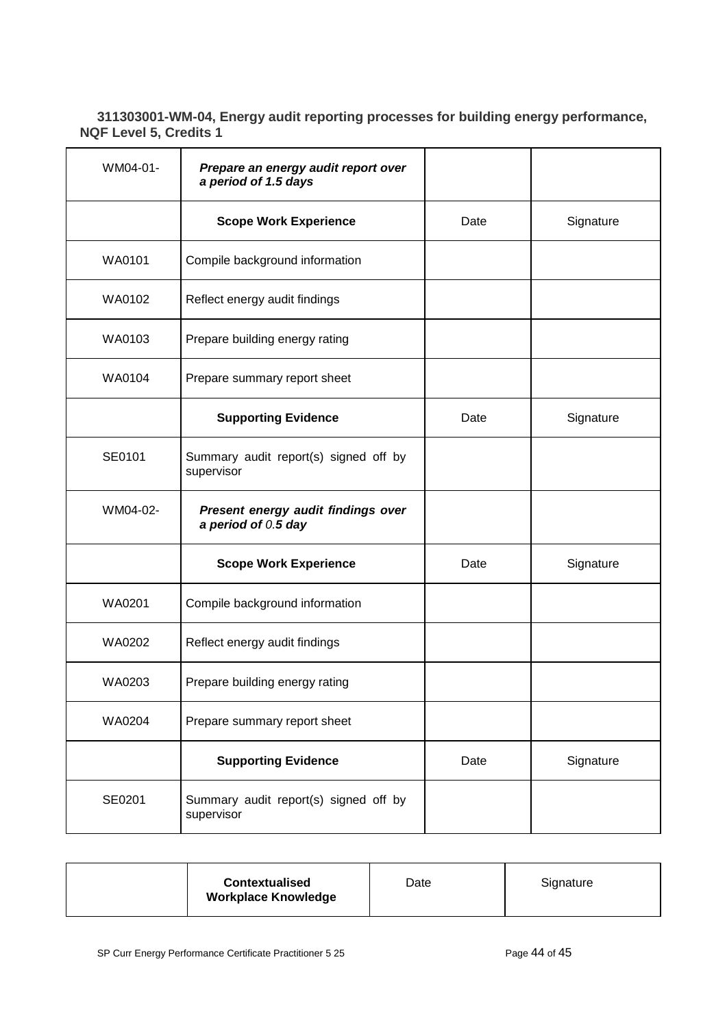## <span id="page-43-0"></span>**311303001-WM-04, Energy audit reporting processes for building energy performance, NQF Level 5, Credits 1**

| WM04-01- | Prepare an energy audit report over<br>a period of 1.5 days |      |           |
|----------|-------------------------------------------------------------|------|-----------|
|          | <b>Scope Work Experience</b>                                | Date | Signature |
| WA0101   | Compile background information                              |      |           |
| WA0102   | Reflect energy audit findings                               |      |           |
| WA0103   | Prepare building energy rating                              |      |           |
| WA0104   | Prepare summary report sheet                                |      |           |
|          | <b>Supporting Evidence</b>                                  | Date | Signature |
| SE0101   | Summary audit report(s) signed off by<br>supervisor         |      |           |
| WM04-02- | Present energy audit findings over<br>a period of $0.5$ day |      |           |
|          | <b>Scope Work Experience</b>                                | Date | Signature |
| WA0201   | Compile background information                              |      |           |
| WA0202   | Reflect energy audit findings                               |      |           |
| WA0203   | Prepare building energy rating                              |      |           |
| WA0204   | Prepare summary report sheet                                |      |           |
|          | <b>Supporting Evidence</b>                                  | Date | Signature |
| SE0201   | Summary audit report(s) signed off by<br>supervisor         |      |           |

| <b>Contextualised</b><br><b>Workplace Knowledge</b> | Date | Signature |
|-----------------------------------------------------|------|-----------|
|-----------------------------------------------------|------|-----------|